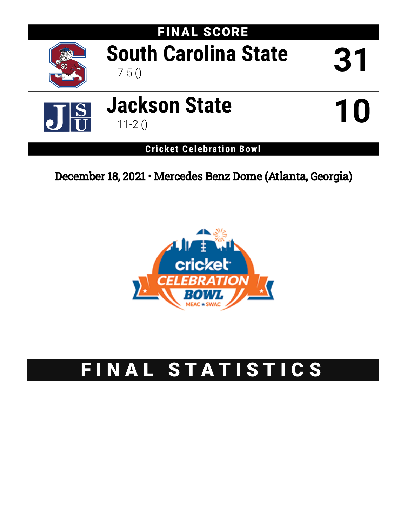

# December 18, 2021 • Mercedes Benz Dome (Atlanta, Georgia)



# FINAL STATISTICS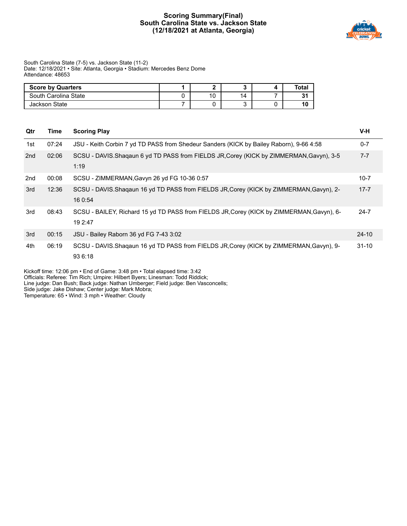## **Scoring Summary(Final) South Carolina State vs. Jackson State (12/18/2021 at Atlanta, Georgia)**



#### South Carolina State (7-5) vs. Jackson State (11-2) Date: 12/18/2021 • Site: Atlanta, Georgia • Stadium: Mercedes Benz Dome Attendance: 48653

| <b>Score by Quarters</b> |  |    | Total |
|--------------------------|--|----|-------|
| South Carolina State     |  | 14 | 21    |
| Jackson State            |  |    | 10    |

| Qtr | Time  | <b>Scoring Play</b>                                                                                  | V-H       |
|-----|-------|------------------------------------------------------------------------------------------------------|-----------|
| 1st | 07:24 | JSU - Keith Corbin 7 yd TD PASS from Shedeur Sanders (KICK by Bailey Raborn), 9-66 4:58              | $0 - 7$   |
| 2nd | 02:06 | SCSU - DAVIS.Shaqaun 6 yd TD PASS from FIELDS JR, Corey (KICK by ZIMMERMAN, Gavyn), 3-5<br>1:19      | $7 - 7$   |
| 2nd | 00:08 | SCSU - ZIMMERMAN, Gavyn 26 yd FG 10-36 0:57                                                          | $10 - 7$  |
| 3rd | 12:36 | SCSU - DAVIS. Shaqaun 16 yd TD PASS from FIELDS JR, Corey (KICK by ZIMMERMAN, Gavyn), 2-<br>16 0:54  | $17 - 7$  |
| 3rd | 08:43 | SCSU - BAILEY, Richard 15 yd TD PASS from FIELDS JR, Corey (KICK by ZIMMERMAN, Gavyn), 6-<br>19 2:47 | $24 - 7$  |
| 3rd | 00:15 | JSU - Bailey Raborn 36 yd FG 7-43 3:02                                                               | $24 - 10$ |
| 4th | 06:19 | SCSU - DAVIS.Shaqaun 16 yd TD PASS from FIELDS JR, Corey (KICK by ZIMMERMAN, Gavyn), 9-<br>93 6:18   | $31 - 10$ |

Kickoff time: 12:06 pm • End of Game: 3:48 pm • Total elapsed time: 3:42

Officials: Referee: Tim Rich; Umpire: Hilbert Byers; Linesman: Todd Riddick;

Line judge: Dan Bush; Back judge: Nathan Umberger; Field judge: Ben Vasconcells;

Side judge: Jake Dishaw; Center judge: Mark Mobra;

Temperature: 65 • Wind: 3 mph • Weather: Cloudy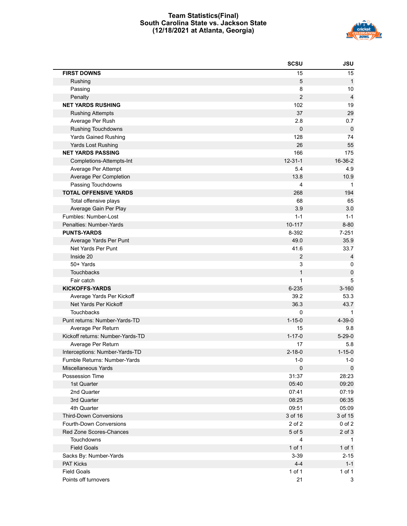## **Team Statistics(Final) South Carolina State vs. Jackson State (12/18/2021 at Atlanta, Georgia)**



|                                  | <b>SCSU</b>      | <b>JSU</b>     |
|----------------------------------|------------------|----------------|
| <b>FIRST DOWNS</b>               | 15               | 15             |
| Rushing                          | 5                | $\mathbf{1}$   |
| Passing                          | 8                | 10             |
| Penalty                          | $\overline{2}$   | $\overline{4}$ |
| <b>NET YARDS RUSHING</b>         | 102              | 19             |
| <b>Rushing Attempts</b>          | 37               | 29             |
| Average Per Rush                 | 2.8              | 0.7            |
| <b>Rushing Touchdowns</b>        | $\pmb{0}$        | $\pmb{0}$      |
| <b>Yards Gained Rushing</b>      | 128              | 74             |
| Yards Lost Rushing               | 26               | 55             |
| <b>NET YARDS PASSING</b>         | 166              | 175            |
| Completions-Attempts-Int         | $12 - 31 - 1$    | 16-36-2        |
| Average Per Attempt              | 5.4              | 4.9            |
| Average Per Completion           | 13.8             | 10.9           |
| Passing Touchdowns               | $\overline{4}$   | $\mathbf 1$    |
| <b>TOTAL OFFENSIVE YARDS</b>     | 268              | 194            |
| Total offensive plays            | 68               | 65             |
| Average Gain Per Play            | 3.9              | 3.0            |
| Fumbles: Number-Lost             | $1 - 1$          | $1 - 1$        |
| Penalties: Number-Yards          | 10-117           | $8 - 80$       |
| <b>PUNTS-YARDS</b>               | 8-392            | $7 - 251$      |
| Average Yards Per Punt           | 49.0             | 35.9           |
| Net Yards Per Punt               | 41.6             | 33.7           |
| Inside 20                        | $\boldsymbol{2}$ | 4              |
| 50+ Yards                        | 3                | 0              |
| <b>Touchbacks</b>                | $\mathbf{1}$     | $\mathbf 0$    |
| Fair catch                       | 1                | 5              |
| <b>KICKOFFS-YARDS</b>            | 6-235            | $3 - 160$      |
| Average Yards Per Kickoff        | 39.2             | 53.3           |
| Net Yards Per Kickoff            | 36.3             | 43.7           |
| <b>Touchbacks</b>                | 0                |                |
| Punt returns: Number-Yards-TD    | $1 - 15 - 0$     | $4 - 39 - 0$   |
| Average Per Return               | 15               | 9.8            |
| Kickoff returns: Number-Yards-TD | $1 - 17 - 0$     | $5 - 29 - 0$   |
| Average Per Return               | 17               | 5.8            |
| Interceptions: Number-Yards-TD   | $2 - 18 - 0$     | $1 - 15 - 0$   |
| Fumble Returns: Number-Yards     | $1 - 0$          | $1 - 0$        |
| Miscellaneous Yards              | $\pmb{0}$        | 0              |
| Possession Time                  | 31:37            | 28:23          |
| 1st Quarter                      | 05:40            | 09:20          |
| 2nd Quarter                      | 07:41            | 07:19          |
| 3rd Quarter                      | 08:25            | 06:35          |
| 4th Quarter                      | 09:51            | 05:09          |
| <b>Third-Down Conversions</b>    | 3 of 16          | 3 of 15        |
| Fourth-Down Conversions          | 2 of 2           | $0$ of $2$     |
| Red Zone Scores-Chances          | 5 of 5           | $2$ of $3$     |
| Touchdowns                       | $\overline{4}$   | $\mathbf 1$    |
| <b>Field Goals</b>               | 1 of 1           | 1 of 1         |
| Sacks By: Number-Yards           | $3 - 39$         | $2 - 15$       |
| <b>PAT Kicks</b>                 | $4 - 4$          | $1 - 1$        |
| <b>Field Goals</b>               | 1 of 1           | 1 of 1         |
| Points off turnovers             | 21               | 3              |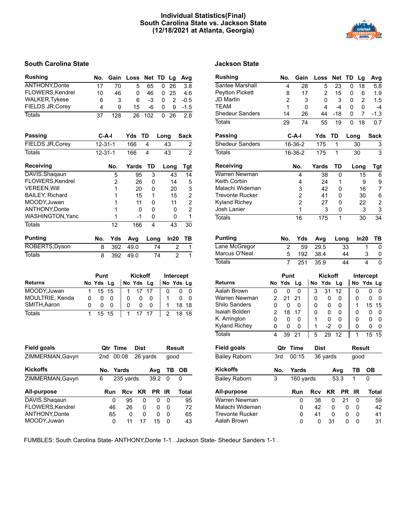## **Individual Statistics(Final) South Carolina State vs. Jackson State (12/18/2021 at Atlanta, Georgia)**



## **South Carolina State Jackson State**

| <b>Rushing</b>          |   | No.    | Gain           |     | Loss           | <b>Net</b> | TD |      | Lg             | Avg                     |
|-------------------------|---|--------|----------------|-----|----------------|------------|----|------|----------------|-------------------------|
| <b>ANTHONY, Donte</b>   |   | 17     | 70             |     | 5              | 65         |    | 0    | 26             | 3.8                     |
| FLOWERS, Kendrel        |   | 10     | 46             |     | 0              | 46         |    | 0    | 25             | 4.6                     |
| <b>WALKER, Tykese</b>   |   | 6      | 3              |     | 6              | $-3$       |    | 0    | $\overline{2}$ | $-0.5$                  |
| <b>FIELDS JR, Corey</b> |   | 4      | 9              |     | 15             | -6         |    | 0    | 9              | $-1.5$                  |
| <b>Totals</b>           |   | 37     | 128            |     | 26             | 102        |    | 0    | 26             | 2.8                     |
| <b>Passing</b>          |   |        | $C-A-I$        | Yds |                | TD         |    | Long |                | <b>Sack</b>             |
| <b>FIELDS JR, Corey</b> |   |        | $12 - 31 - 1$  |     | 166            | 4          |    | 43   |                | $\overline{\mathbf{c}}$ |
| <b>Totals</b>           |   |        | $12 - 31 - 1$  |     | 166            | 4          |    | 43   |                | $\overline{2}$          |
| Receiving               |   |        | No.            |     | Yards          | TD         |    | Long |                | Tgt                     |
| DAVIS.Shaqaun           |   |        | 5              |     | 95             | 3          |    |      | 43             | 14                      |
| FLOWERS, Kendrel        |   |        | $\overline{2}$ |     | 26             | 0          |    |      | 14             | 5                       |
| <b>VEREEN, Will</b>     |   |        | 1              |     | 20             | 0          |    |      | 20             | 3                       |
| <b>BAILEY, Richard</b>  |   |        | 1              |     | 15             | 1          |    |      | 15             | $\overline{\mathbf{c}}$ |
| MOODY, Juwan            |   |        | 1              |     | 11             | 0          |    |      | 11             | 2                       |
| <b>ANTHONY,Donte</b>    |   |        | 1              |     | 0              | 0          |    |      | 0              | $\overline{2}$          |
| WASHINGTON, Yanc        |   |        | 1              |     | $-1$           | 0          |    |      | 0              | 1                       |
| <b>Totals</b>           |   |        | 12             |     | 166            | 4          |    |      | 43             | 30                      |
| <b>Punting</b>          |   | No.    | Yds            |     | Avg            | Long       |    |      | In20           | TВ                      |
| ROBERTS, Dyson          |   | 8      | 392            |     | 49.0           |            | 74 |      | $\overline{2}$ | 1                       |
| <b>Totals</b>           |   | 8      | 392            |     | 49.0           |            | 74 |      | $\overline{2}$ | $\overline{1}$          |
|                         |   | Punt   |                |     | <b>Kickoff</b> |            |    |      | Intercept      |                         |
| <b>Returns</b>          |   | No Yds | Lg             |     | No Yds         | Lg         |    |      |                | No Yds Lg               |
| MOODY.Juwan             | 1 | 15     | 15             | 1   | 17             | 17         |    | 0    | 0              | 0                       |

| MOODY, Juwan    |  | 15 15   | 1 17 17           |            | $\Omega$            |         | $0\quad 0$ |
|-----------------|--|---------|-------------------|------------|---------------------|---------|------------|
| MOULTRIE, Kenda |  |         | $\Omega$          | $0\quad 0$ |                     |         | $0\quad 0$ |
| SMITH, Aaron    |  |         | $\Omega$          | $0\quad 0$ |                     | 1 18 18 |            |
| Totals          |  | 1 15 15 | $1 \t1 \t17 \t17$ |            | $\frac{1}{2}$ 18 18 |         |            |

| <b>Field goals</b>    | <b>Qtr Time</b> |    |            | <b>Dist</b> |      | <b>Result</b> |       |
|-----------------------|-----------------|----|------------|-------------|------|---------------|-------|
| ZIMMERMAN, Gavyn      | 2nd             |    | 00:08      | 26 yards    |      | qood          |       |
| <b>Kickoffs</b>       | No.             |    | Yards      |             | Avg  | ΤВ            | OВ    |
| ZIMMERMAN, Gavyn      | 6               |    | 235 yards  |             | 39.2 | 0             | 0     |
| All-purpose           | Run             |    | <b>Rcv</b> | KR          | PR   | ΙR            | Total |
|                       |                 |    |            |             |      |               |       |
| DAVIS.Shaqaun         |                 | 0  | 95         | 0           | 0    | 0             | 95    |
| FLOWERS, Kendrel      |                 | 46 | 26         | 0           | 0    | $\Omega$      | 72    |
| <b>ANTHONY, Donte</b> |                 | 65 | 0          | 0           | 0    | $\Omega$      | 65    |

## **Rushing No. Gain Loss Net TD Lg Avg** Santee Marshall 4 28 5 23 0 18 5.8 Peytton Pickett 8 17 2 15 0 6 1.9 JD Martin 2 3 0 3 0 2 1.5 TEAM 1 0 4 -4 0 0 -4 Shedeur Sanders 14 26 44 -18 0 7 -1.3 Totals 29 74 55 19 0 18 0.7 **Passing C-A-I Yds TD Long Sack** Shedeur Sanders 16-36-2 175 1 30 3 Totals 16-36-2 175 1 30 3 **Receiving No. Yards TD Long Tgt** Warren Newman 4 38 0 15 6 Keith Corbin 4 24 1 9 9 Malachi Wideman 3 42 0 16 Trevonte Rucker  $2$  41 0 30 6<br>
Kyland Richey  $2$  27 0 22 2 Kyland Richey 2 27 0 Josh Lanier 1 3 0 3 3 Totals 16 175 1 30 34 **Punting No. Yds Avg Long In20 TB**

| .             |    | 110.100 |          | שווא שאווי דעוויט |   |
|---------------|----|---------|----------|-------------------|---|
| Lane McGregor |    |         | 59 29.5  | 33                |   |
| Marcus O'Neal | 5. |         | 192 38.4 | 44                | 0 |
| Totals        |    | 251     | - 35.9   | 44                | 0 |

|                        |     | Punt   |           |     | <b>Kickoff</b> |         |      | Intercept     |       |
|------------------------|-----|--------|-----------|-----|----------------|---------|------|---------------|-------|
| <b>Returns</b>         |     | No Yds | Lg        | No  | Yds            | Lg      |      | No Yds Lg     |       |
| Aalah Brown            | 0   | 0      | 0         | 3   | 31             | 12      | 0    | 0             | 0     |
| Warren Newman          | 2   | 21     | 21        | 0   | 0              | 0       | 0    | 0             | 0     |
| Shilo Sanders          | 0   | 0      | 0         | 0   | 0              | 0       | 1    | 15            | 15    |
| Isaiah Bolden          | 2   | 18     | 17        | 0   | 0              | 0       | 0    | 0             | 0     |
| K. Arrington           | 0   | 0      | 0         | 1   | 0              | 0       | 0    | 0             | 0     |
| Kyland Richey          | 0   | 0      | 0         | 1   | -2             | 0       | 0    | 0             | 0     |
| <b>Totals</b>          | 4   | 39     | 21        | 5   | 29             | 12      | 1    | 15            | 15    |
| Field goals            |     | Qtr    | Time      |     | Dist           |         |      | <b>Result</b> |       |
| <b>Bailey Raborn</b>   | 3rd |        | 00:15     |     | 36 yards       |         | good |               |       |
| <b>Kickoffs</b>        |     | No.    | Yards     |     |                | Avg     | ΤВ   | ОВ            |       |
| <b>Bailey Raborn</b>   | 3   |        | 160 yards |     |                | 53.3    | 1    | 0             |       |
| All-purpose            |     |        | Run       | Rcv | ΚR             | PR      | IR   |               | Total |
| Warren Newman          |     |        | 0         | 38  |                | 21<br>0 | 0    |               | 59    |
| Malachi Wideman        |     |        | 0         | 42  |                | 0<br>0  | 0    |               | 42    |
| <b>Trevonte Rucker</b> |     |        | 0         | 41  |                | 0<br>0  | 0    |               | 41    |
| Aalah Brown            |     |        | 0         | 0   | 31             | 0       | 0    |               | 31    |

FUMBLES: South Carolina State- ANTHONY,Donte 1-1 . Jackson State- Shedeur Sanders 1-1 .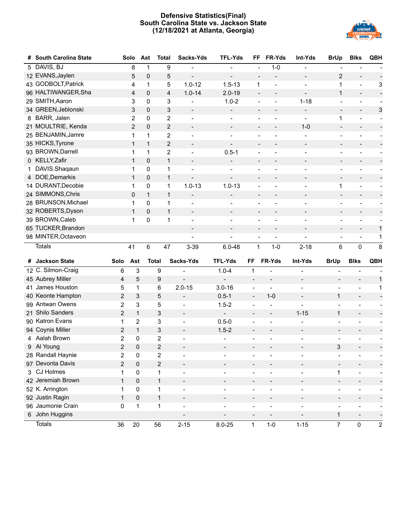## **Defensive Statistics(Final) South Carolina State vs. Jackson State (12/18/2021 at Atlanta, Georgia)**



| #  | <b>South Carolina State</b>     |                         | Solo           | Ast          | <b>Total</b>   | Sacks-Yds                            | <b>TFL-Yds</b>           | FF                       | FR-Yds                   | Int-Yds                      | <b>BrUp</b>                    | <b>Blks</b>                           | QBH                                    |
|----|---------------------------------|-------------------------|----------------|--------------|----------------|--------------------------------------|--------------------------|--------------------------|--------------------------|------------------------------|--------------------------------|---------------------------------------|----------------------------------------|
|    | 5 DAVIS, BJ                     |                         | 8              | 1            | 9              |                                      |                          |                          | $1 - 0$                  |                              |                                |                                       |                                        |
|    | 12 EVANS, Jaylen                |                         | 5              | $\pmb{0}$    | 5              | $\qquad \qquad -$                    |                          |                          |                          | $\overline{a}$               | $\overline{2}$                 |                                       |                                        |
|    | 43 GODBOLT, Patrick             |                         | 4              | $\mathbf{1}$ | 5              | $1.0 - 12$                           | $1.5 - 13$               | 1                        | $\overline{a}$           | $\overline{\phantom{a}}$     | $\mathbf{1}$                   | $\blacksquare$                        | 3                                      |
|    | 96 HALTIWANGER, Sha             |                         | 4              | $\mathbf 0$  | 4              | $1.0 - 14$                           | $2.0 - 19$               | $\overline{\phantom{a}}$ | $\blacksquare$           | $\overline{\phantom{a}}$     | $\mathbf{1}$                   | $\overline{\phantom{a}}$              | $\blacksquare$                         |
|    | 29 SMITH, Aaron                 |                         | 3              | $\mathbf 0$  | 3              |                                      | $1.0 - 2$                |                          | $\overline{a}$           | $1 - 18$                     | $\blacksquare$                 | $\overline{\phantom{a}}$              |                                        |
|    | 34 GREEN, Jeblonski             |                         | 3              | $\pmb{0}$    | 3              | $\qquad \qquad -$                    | $\overline{\phantom{a}}$ | $\overline{\phantom{a}}$ | $\overline{\phantom{a}}$ | $\overline{\phantom{a}}$     | $\overline{\phantom{a}}$       | $\overline{\phantom{a}}$              | 3                                      |
|    | 8 BARR, Jalen                   |                         | $\overline{2}$ | $\mathbf 0$  | $\overline{c}$ |                                      |                          |                          | $\overline{a}$           |                              | 1                              | $\overline{\phantom{a}}$              |                                        |
|    | 21 MOULTRIE, Kenda              |                         | $\overline{2}$ | 0            | $\overline{2}$ | $\overline{\phantom{a}}$             | $\qquad \qquad -$        | $\overline{\phantom{a}}$ | $\overline{a}$           | $1 - 0$                      | $\overline{\phantom{a}}$       | $\overline{\phantom{a}}$              | $\overline{\phantom{a}}$               |
|    | 25 BENJAMIN, Jamre              |                         | 1              | 1            | 2              | $\overline{a}$                       | $\overline{\phantom{a}}$ | $\blacksquare$           | ÷                        |                              | $\overline{\phantom{a}}$       | $\overline{a}$                        |                                        |
|    | 35 HICKS, Tyrone                |                         | $\mathbf{1}$   | $\mathbf{1}$ | $\overline{c}$ | $\qquad \qquad -$                    | $\frac{1}{2}$            |                          |                          | $\overline{\phantom{a}}$     | $\overline{\phantom{a}}$       | $\overline{\phantom{a}}$              |                                        |
|    | 93 BROWN, Darrell               |                         | 1              | 1            | $\overline{c}$ | $\overline{\phantom{a}}$             | $0.5 - 1$                |                          |                          | -                            | $\overline{a}$                 | ÷                                     |                                        |
|    | 0 KELLY, Zafir                  |                         | $\mathbf{1}$   | 0            | $\mathbf{1}$   | $\overline{\phantom{a}}$             | $\overline{\phantom{a}}$ | $\overline{\phantom{a}}$ | $\qquad \qquad -$        | $\overline{\phantom{a}}$     | $\blacksquare$                 | $\overline{\phantom{a}}$              |                                        |
| 1. | DAVIS.Shaqaun                   |                         | 1              | 0            | 1              |                                      |                          |                          |                          |                              |                                |                                       |                                        |
|    | 4 DOE, Demarkis                 |                         | $\mathbf{1}$   | $\pmb{0}$    | 1              | $\qquad \qquad -$                    | $\frac{1}{2}$            |                          | $\overline{\phantom{a}}$ | $\overline{\phantom{a}}$     | $\qquad \qquad -$              | $\overline{\phantom{a}}$              |                                        |
|    | 14 DURANT, Decobie              |                         | 1              | 0            | 1              | $1.0 - 13$                           | $1.0 - 13$               |                          |                          | ÷                            | 1                              | $\overline{\phantom{0}}$              |                                        |
|    | 24 SIMMONS, Chris               |                         | 0              | $\mathbf{1}$ | $\mathbf{1}$   | $\overline{a}$                       |                          |                          | $\overline{\phantom{0}}$ | $\overline{\phantom{a}}$     | $\overline{\phantom{a}}$       | $\overline{\phantom{a}}$              |                                        |
|    | 28 BRUNSON, Michael             |                         | 1              | $\mathbf 0$  | 1              | ÷                                    | $\overline{a}$           | $\blacksquare$           | $\overline{a}$           | $\overline{\phantom{a}}$     | $\overline{\phantom{a}}$       | ÷                                     |                                        |
|    | 32 ROBERTS, Dyson               |                         | $\mathbf{1}$   | $\mathbf 0$  | 1              |                                      |                          |                          |                          | $\overline{a}$               | $\overline{\phantom{a}}$       | $\overline{\phantom{a}}$              |                                        |
|    | 39 BROWN, Caleb                 |                         | 1              | $\mathbf 0$  | 1              | $\overline{\phantom{a}}$             | $\overline{a}$           |                          |                          | $\overline{a}$               | $\overline{\phantom{a}}$       | $\overline{\phantom{a}}$              |                                        |
|    | 65 TUCKER, Brandon              |                         |                |              |                | $\overline{\phantom{a}}$             | $\overline{\phantom{a}}$ | $\overline{\phantom{a}}$ | $\qquad \qquad -$        | -                            | $\blacksquare$                 | $\overline{\phantom{a}}$              | 1                                      |
|    | 98 MINTER, Octaveon             |                         |                |              |                |                                      | $\overline{a}$           | $\blacksquare$           | $\overline{a}$           | $\overline{a}$               | $\overline{\phantom{a}}$       | $\overline{\phantom{a}}$              | 1                                      |
|    | <b>Totals</b>                   |                         | 41             | $\,6\,$      | 47             | $3 - 39$                             | $6.0 - 48$               | $\mathbf 1$              | $1 - 0$                  | $2 - 18$                     | 6                              | $\pmb{0}$                             | 8                                      |
|    |                                 |                         |                |              |                |                                      |                          |                          |                          |                              |                                |                                       |                                        |
|    | # Jackson State                 | Solo                    | Ast            |              | <b>Total</b>   | Sacks-Yds                            | <b>TFL-Yds</b>           | FF.                      | FR-Yds                   | Int-Yds                      | <b>BrUp</b>                    | <b>Blks</b>                           | <b>QBH</b>                             |
|    | 12 C. Silmon-Craig              | 6                       | 3              |              | 9              | ÷,                                   | $1.0 - 4$                | $\mathbf 1$              |                          |                              | ÷                              | $\overline{\phantom{a}}$              |                                        |
|    | 45 Aubrey Miller                | 4                       | 5              |              | 9              | $\overline{a}$                       |                          | $\overline{\phantom{a}}$ |                          | $\qquad \qquad \blacksquare$ | $\overline{\phantom{a}}$       | $\overline{\phantom{a}}$              | 1                                      |
|    | 41 James Houston                | 5                       | 1              |              | 6              | $2.0 - 15$                           | $3.0 - 16$               | $\overline{\phantom{a}}$ | $\overline{a}$           |                              | $\qquad \qquad -$              | $\overline{\phantom{a}}$              | 1                                      |
|    | 40 Keonte Hampton               | 2                       | 3              |              | 5              | $\overline{\phantom{a}}$             | $0.5 - 1$                | $\overline{\phantom{a}}$ | $1 - 0$                  | Ξ.                           | 1                              | $\overline{\phantom{a}}$              |                                        |
|    | 99 Antwan Owens                 | $\mathbf 2$             | 3              |              | 5              | $\overline{\phantom{0}}$             | $1.5 - 2$                | $\overline{\phantom{a}}$ | $\overline{a}$           |                              | $\qquad \qquad -$              |                                       |                                        |
|    | 21 Shilo Sanders                | 2                       | $\mathbf{1}$   |              | 3              | $\overline{\phantom{a}}$             | $\blacksquare$           | $\overline{\phantom{a}}$ | $\overline{\phantom{a}}$ | $1 - 15$                     | $\mathbf{1}$                   | $\overline{\phantom{a}}$              |                                        |
|    | 90 Katron Evans                 | $\mathbf 1$             | $\overline{2}$ |              | 3              | $\overline{a}$                       | $0.5 - 0$                |                          |                          |                              | $\qquad \qquad \blacksquare$   | -                                     |                                        |
|    | 94 Coynis Miller                | 2                       | $\mathbf{1}$   |              | 3              | $\overline{\phantom{a}}$             | $1.5 - 2$                | $\overline{\phantom{a}}$ |                          |                              | $\overline{\phantom{a}}$       |                                       |                                        |
|    | 4 Aalah Brown                   | $\overline{2}$          | 0              |              | $\overline{2}$ | $\overline{\phantom{a}}$             |                          | $\overline{\phantom{a}}$ |                          |                              | $\overline{\phantom{a}}$       | $\overline{\phantom{a}}$              |                                        |
|    | 9 Al Young                      | $\overline{2}$          | 0              |              | $\overline{c}$ |                                      |                          |                          |                          |                              | 3                              |                                       |                                        |
|    | 28 Randall Haynie               | 2                       | 0              |              | 2              |                                      |                          |                          |                          |                              |                                |                                       |                                        |
|    | 97 Devonta Davis                | $\overline{\mathbf{c}}$ | 0              |              | $\overline{c}$ | $\overline{\phantom{a}}$             |                          |                          |                          | $\qquad \qquad \blacksquare$ | $\overline{a}$                 | $\overline{\phantom{a}}$              |                                        |
| 3. | CJ Holmes<br>42 Jeremiah Brown  | 1                       | 0              |              | $\mathbf 1$    | $\overline{\phantom{a}}$             |                          | $\overline{a}$           |                          |                              | 1                              | $\qquad \qquad \blacksquare$          |                                        |
|    |                                 | $\mathbf{1}$            | 0              |              | $\mathbf{1}$   | $\overline{\phantom{a}}$             |                          | $\overline{\phantom{a}}$ | $\overline{\phantom{a}}$ | $\overline{\phantom{a}}$     | $\overline{\phantom{a}}$       | $\overline{\phantom{a}}$              |                                        |
|    | 52 K. Arrington                 | 1                       | $\pmb{0}$      |              | $\mathbf{1}$   | $\blacksquare$                       |                          | $\overline{\phantom{a}}$ |                          |                              | $\overline{\phantom{0}}$       | $\overline{\phantom{a}}$              |                                        |
|    | 92 Justin Ragin                 | $\mathbf{1}$            |                |              |                |                                      |                          |                          |                          | $\overline{\phantom{0}}$     |                                |                                       |                                        |
|    |                                 |                         | $\pmb{0}$      |              | $\mathbf{1}$   | $\blacksquare$                       |                          | $\overline{\phantom{a}}$ |                          |                              | $\overline{\phantom{0}}$       | $\overline{\phantom{0}}$              |                                        |
|    | 96 Jaumonie Crain               | 0                       | $\mathbf 1$    |              | $\mathbf 1$    | $\overline{\phantom{0}}$             | $\overline{\phantom{a}}$ | $\overline{\phantom{a}}$ | $\overline{a}$           | $\overline{a}$               | $\overline{\phantom{a}}$       | $\overline{\phantom{a}}$              | $\overline{\phantom{a}}$               |
|    | 6 John Huggins<br><b>Totals</b> | 36                      | 20             |              | 56             | $\overline{\phantom{a}}$<br>$2 - 15$ | $8.0 - 25$               | 1                        | $1-0$                    | $1 - 15$                     | $\mathbf{1}$<br>$\overline{7}$ | $\overline{\phantom{a}}$<br>$\pmb{0}$ | $\overline{\phantom{a}}$<br>$\sqrt{2}$ |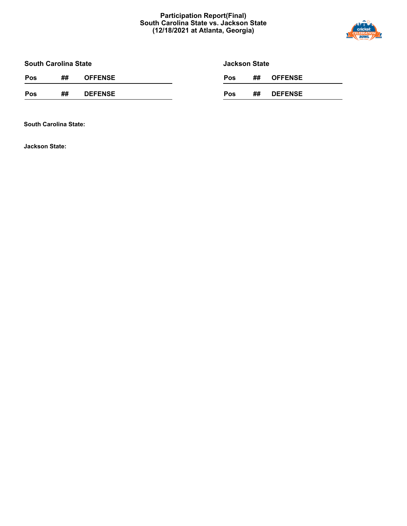## **Participation Report(Final) South Carolina State vs. Jackson State (12/18/2021 at Atlanta, Georgia)**



**South Carolina State**

**Jackson State**

| Pos<br><b>DEFENSE</b><br>##<br>##<br><b>DEFENSE</b><br><b>Pos</b> | Pos | ## | <b>OFFENSE</b> | <b>Pos</b> | ## | <b>OFFENSE</b> |
|-------------------------------------------------------------------|-----|----|----------------|------------|----|----------------|
|                                                                   |     |    |                |            |    |                |

**South Carolina State:**

**Jackson State:**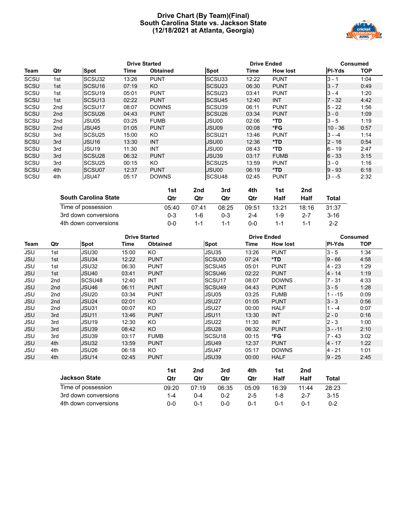## **Drive Chart (By Team)(Final) South Carolina State vs. Jackson State (12/18/2021 at Atlanta, Georgia)**



|             |                 |                             |       | <b>Drive Started</b> |     |                    | <b>Drive Ended</b> |                 |      |              | <b>Consumed</b> |
|-------------|-----------------|-----------------------------|-------|----------------------|-----|--------------------|--------------------|-----------------|------|--------------|-----------------|
| Team        | Qtr             | <b>Spot</b>                 | Time  | <b>Obtained</b>      |     | Spot               | Time               | <b>How lost</b> |      | PI-Yds       | <b>TOP</b>      |
| SCSU        | 1st             | SCSU32                      | 13:26 | <b>PUNT</b>          |     | SCSU33             | 12:22              | <b>PUNT</b>     |      | $3 - 1$      | 1:04            |
| SCSU        | 1st             | SCSU <sub>16</sub>          | 07:19 | KO                   |     | SCSU <sub>23</sub> | 06:30              | <b>PUNT</b>     |      | $3 - 7$      | 0:49            |
| SCSU        | 1st             | SCSU <sub>19</sub>          | 05:01 | <b>PUNT</b>          |     | SCSU <sub>23</sub> | 03:41              | <b>PUNT</b>     |      | $3 - 4$      | 1:20            |
| SCSU        | 1st             | SCSU <sub>13</sub>          | 02:22 | <b>PUNT</b>          |     | SCSU <sub>45</sub> | 12:40              | <b>INT</b>      |      | $7 - 32$     | 4:42            |
| SCSU        | 2 <sub>nd</sub> | SCSU <sub>17</sub>          | 08:07 | <b>DOWNS</b>         |     | SCSU <sub>39</sub> | 06:11              | <b>PUNT</b>     |      | $5 - 22$     | 1:56            |
| SCSU        | 2 <sub>nd</sub> | SCSU <sub>26</sub>          | 04:43 | <b>PUNT</b>          |     | SCSU <sub>26</sub> | 03:34              | <b>PUNT</b>     |      | $3 - 0$      | 1:09            |
| SCSU        | 2nd             | JSU05                       | 03:25 | <b>FUMB</b>          |     | JSU00              | 02:06              | *TD             |      | $3 - 5$      | 1:19            |
| SCSU        | 2 <sub>nd</sub> | JSU45                       | 01:05 | <b>PUNT</b>          |     | JSU09              | 00:08              | *FG             |      | $10 - 36$    | 0:57            |
| SCSU        | 3rd             | SCSU <sub>25</sub>          | 15:00 | KO.                  |     | SCSU <sub>21</sub> | 13:46              | <b>PUNT</b>     |      | $3 - -4$     | 1:14            |
| <b>SCSU</b> | 3rd             | JSU <sub>16</sub>           | 13:30 | <b>INT</b>           |     | JSU00              | 12:36              | $*TD$           |      | $2 - 16$     | 0:54            |
| SCSU        | 3rd             | JSU <sub>19</sub>           | 11:30 | <b>INT</b>           |     | JSU00              | 08:43              | *TD             |      | $6 - 19$     | 2:47            |
| SCSU        | 3rd             | SCSU <sub>28</sub>          | 06:32 | <b>PUNT</b>          |     | JSU39              | 03:17              | <b>FUMB</b>     |      | $6 - 33$     | 3:15            |
| SCSU        | 3rd             | SCSU <sub>25</sub>          | 00:15 | KO.                  |     | SCSU <sub>25</sub> | 13:59              | <b>PUNT</b>     |      | $3 - 0$      | 1:16            |
| SCSU        | 4th             | SCSU07                      | 12:37 | <b>PUNT</b>          |     | JSU00              | 06:19              | $*TD$           |      | $9 - 93$     | 6:18            |
| SCSU        | 4th             | JSU47                       | 05:17 | <b>DOWNS</b>         |     | SCSU48             | 02:45              | <b>PUNT</b>     |      | $3 - -5$     | 2:32            |
|             |                 |                             |       | 1st                  | 2nd | 3rd                | 4th                | 1st             | 2nd  |              |                 |
|             |                 | <b>South Carolina State</b> |       | Qtr                  | Qtr | Qtr                | Qtr                | Half            | Half | <b>Total</b> |                 |

| Time of possession   | 05:40 | 07.41 | 08:25   | 09:51 | 13:21 | 18:16 | 31:37   |
|----------------------|-------|-------|---------|-------|-------|-------|---------|
| 3rd down conversions | D-3   | 1-6   | $0 - 3$ | $2-4$ | 1-9   | - 2-7 | 3-16    |
| 4th down conversions | J-0.  | $1-1$ | 1-1     | 0-0   | 1-1   | 1-1   | $2 - 2$ |

|            | <b>Drive Started</b> |                    |       |                 |                    | <b>Drive Ended</b> | <b>Consumed</b> |               |            |  |
|------------|----------------------|--------------------|-------|-----------------|--------------------|--------------------|-----------------|---------------|------------|--|
| Team       | Qtr                  | <b>Spot</b>        | Time  | <b>Obtained</b> | <b>Spot</b>        | Time               | <b>How lost</b> | <b>PI-Yds</b> | <b>TOP</b> |  |
| <b>JSU</b> | 1st                  | JSU30              | 15:00 | KO.             | JSU35              | 13:26              | <b>PUNT</b>     | $3 - 5$       | 1:34       |  |
| <b>JSU</b> | 1st                  | JSU34              | 12:22 | <b>PUNT</b>     | SCSU00             | 07:24              | *TD             | $9 - 66$      | 4:58       |  |
| <b>JSU</b> | 1st                  | JSU32              | 06:30 | <b>PUNT</b>     | SCSU <sub>45</sub> | 05:01              | <b>PUNT</b>     | 4 - 23        | 1:29       |  |
| <b>JSU</b> | 1st                  | JSU40              | 03:41 | <b>PUNT</b>     | SCSU46             | 02:22              | <b>PUNT</b>     | $4 - 14$      | 1:19       |  |
| <b>JSU</b> | 2nd                  | SCSU <sub>48</sub> | 12:40 | <b>INT</b>      | SCSU <sub>17</sub> | 08:07              | <b>DOWNS</b>    | $7 - 31$      | 4:33       |  |
| <b>JSU</b> | 2 <sub>nd</sub>      | JSU46              | 06:11 | <b>PUNT</b>     | SCSU <sub>49</sub> | 04:43              | <b>PUNT</b>     | $3 - 5$       | 1:28       |  |
| <b>JSU</b> | 2nd                  | JSU20              | 03:34 | <b>PUNT</b>     | JSU05              | 03:25              | <b>FUMB</b>     | $1 - -15$     | 0:09       |  |
| <b>JSU</b> | 2 <sub>nd</sub>      | JSU24              | 02:01 | KO              | JSU27              | 01:05              | <b>PUNT</b>     | $3 - 3$       | 0:56       |  |
| JSU        | 2nd                  | JSU31              | 00:07 | KO.             | JSU27              | 00:00              | HALF            | $1 - -4$      | 0:07       |  |
| <b>JSU</b> | 3rd                  | JSU11              | 13:46 | <b>PUNT</b>     | <b>JSU11</b>       | 13:30              | <b>INT</b>      | $2 - 0$       | 0:16       |  |
| <b>JSU</b> | 3rd                  | JSU19              | 12:30 | KO.             | JSU22              | 11:30              | <b>INT</b>      | $2 - 3$       | 1:00       |  |
| <b>JSU</b> | 3rd                  | JSU39              | 08:42 | KO.             | JSU28              | 06:32              | <b>PUNT</b>     | $3 - -11$     | 2:10       |  |
| <b>JSU</b> | 3rd                  | JSU39              | 03:17 | <b>FUMB</b>     | SCSU <sub>18</sub> | 00:15              | *FG             | $7 - 43$      | 3:02       |  |
| <b>JSU</b> | 4th                  | JSU32              | 13:59 | <b>PUNT</b>     | <b>JSU49</b>       | 12:37              | <b>PUNT</b>     | 4 - 17        | 1:22       |  |
| <b>JSU</b> | 4th                  | JSU26              | 06:18 | KO.             | JSU47              | 05:17              | <b>DOWNS</b>    | 4 - 21        | 1:01       |  |
| JSU        | 4th                  | JSU <sub>14</sub>  | 02:45 | <b>PUNT</b>     | JSU39              | 00:00              | <b>HALF</b>     | $9 - 25$      | 2:45       |  |
|            |                      |                    |       |                 |                    |                    |                 |               |            |  |

|                      | 1st   | 2nd     | 3rd   | 4th   | 1st   | 2nd     |          |
|----------------------|-------|---------|-------|-------|-------|---------|----------|
| <b>Jackson State</b> | Otr   | Qtr     | Qtr   | Qtr   | Half  | Half    | Total    |
| Time of possession   | 09:20 | 07:19   | 06:35 | 05:09 | 16:39 | 11:44   | 28:23    |
| 3rd down conversions | 1-4   | በ-4     | 0-2   | 2-5   | 1-8   | $2 - 7$ | $3 - 15$ |
| 4th down conversions | ი-ი   | $0 - 1$ | ი-ი   | 0-1   | በ-1   | በ-1     | $0 - 2$  |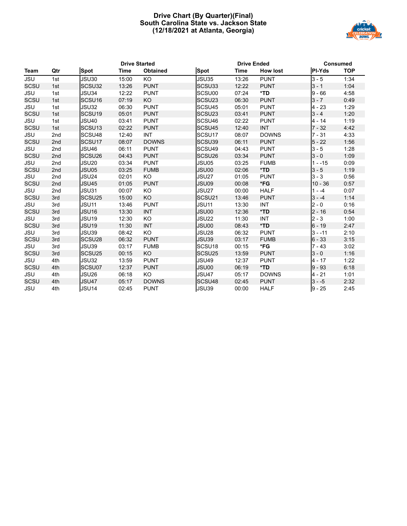## **Drive Chart (By Quarter)(Final) South Carolina State vs. Jackson State (12/18/2021 at Atlanta, Georgia)**



|             | <b>Drive Started</b> |                    |       | <b>Drive Ended</b> |                    | <b>Consumed</b> |                 |           |            |
|-------------|----------------------|--------------------|-------|--------------------|--------------------|-----------------|-----------------|-----------|------------|
| Team        | Qtr                  | <b>Spot</b>        | Time  | <b>Obtained</b>    | <b>Spot</b>        | Time            | <b>How lost</b> | PI-Yds    | <b>TOP</b> |
| <b>JSU</b>  | 1st                  | JSU30              | 15:00 | KO                 | JSU35              | 13:26           | <b>PUNT</b>     | $3 - 5$   | 1:34       |
| <b>SCSU</b> | 1st                  | SCSU32             | 13:26 | <b>PUNT</b>        | SCSU33             | 12:22           | <b>PUNT</b>     | $3 - 1$   | 1:04       |
| <b>JSU</b>  | 1st                  | JSU34              | 12:22 | <b>PUNT</b>        | SCSU00             | 07:24           | *TD             | $9 - 66$  | 4:58       |
| SCSU        | 1st                  | SCSU <sub>16</sub> | 07:19 | KO                 | SCSU23             | 06:30           | <b>PUNT</b>     | $3 - 7$   | 0:49       |
| <b>JSU</b>  | 1st                  | JSU32              | 06:30 | <b>PUNT</b>        | SCSU45             | 05:01           | <b>PUNT</b>     | $4 - 23$  | 1:29       |
| SCSU        | 1st                  | SCSU <sub>19</sub> | 05:01 | <b>PUNT</b>        | SCSU <sub>23</sub> | 03:41           | <b>PUNT</b>     | $3 - 4$   | 1:20       |
| <b>JSU</b>  | 1st                  | <b>JSU40</b>       | 03:41 | <b>PUNT</b>        | SCSU46             | 02:22           | <b>PUNT</b>     | $4 - 14$  | 1:19       |
| <b>SCSU</b> | 1st                  | SCSU <sub>13</sub> | 02:22 | <b>PUNT</b>        | SCSU45             | 12:40           | <b>INT</b>      | $7 - 32$  | 4:42       |
| <b>JSU</b>  | 2nd                  | SCSU48             | 12:40 | <b>INT</b>         | SCSU17             | 08:07           | <b>DOWNS</b>    | $7 - 31$  | 4:33       |
| <b>SCSU</b> | 2nd                  | SCSU17             | 08:07 | <b>DOWNS</b>       | SCSU39             | 06:11           | <b>PUNT</b>     | $5 - 22$  | 1:56       |
| <b>JSU</b>  | 2nd                  | JSU46              | 06:11 | <b>PUNT</b>        | SCSU49             | 04:43           | <b>PUNT</b>     | $3 - 5$   | 1:28       |
| <b>SCSU</b> | 2nd                  | SCSU <sub>26</sub> | 04:43 | <b>PUNT</b>        | SCSU <sub>26</sub> | 03:34           | <b>PUNT</b>     | $3 - 0$   | 1:09       |
| <b>JSU</b>  | 2nd                  | JSU20              | 03:34 | <b>PUNT</b>        | JSU05              | 03:25           | <b>FUMB</b>     | $1 - -15$ | 0:09       |
| <b>SCSU</b> | 2nd                  | JSU05              | 03:25 | <b>FUMB</b>        | JSU00              | 02:06           | *TD             | $3 - 5$   | 1:19       |
| JSU         | 2nd                  | JSU24              | 02:01 | KO                 | JSU27              | 01:05           | <b>PUNT</b>     | $3 - 3$   | 0:56       |
| SCSU        | 2nd                  | JSU45              | 01:05 | <b>PUNT</b>        | JSU09              | 00:08           | *FG             | $10 - 36$ | 0:57       |
| <b>JSU</b>  | 2nd                  | JSU31              | 00:07 | KO                 | JSU27              | 00:00           | <b>HALF</b>     | $1 - -4$  | 0:07       |
| <b>SCSU</b> | 3rd                  | SCSU <sub>25</sub> | 15:00 | <b>KO</b>          | SCSU <sub>21</sub> | 13:46           | <b>PUNT</b>     | $3 - -4$  | 1:14       |
| <b>JSU</b>  | 3rd                  | JSU11              | 13:46 | <b>PUNT</b>        | <b>JSU11</b>       | 13:30           | INT             | $2 - 0$   | 0:16       |
| <b>SCSU</b> | 3rd                  | JSU16              | 13:30 | <b>INT</b>         | JSU00              | 12:36           | *TD             | $2 - 16$  | 0:54       |
| <b>JSU</b>  | 3rd                  | JSU19              | 12:30 | KO                 | JSU22              | 11:30           | <b>INT</b>      | $2 - 3$   | 1:00       |
| SCSU        | 3rd                  | JSU19              | 11:30 | <b>INT</b>         | JSU00              | 08:43           | *TD             | $6 - 19$  | 2:47       |
| <b>JSU</b>  | 3rd                  | JSU39              | 08:42 | KO                 | <b>JSU28</b>       | 06:32           | <b>PUNT</b>     | $3 - -11$ | 2:10       |
| SCSU        | 3rd                  | SCSU <sub>28</sub> | 06:32 | <b>PUNT</b>        | JSU39              | 03:17           | <b>FUMB</b>     | $6 - 33$  | 3:15       |
| <b>JSU</b>  | 3rd                  | JSU39              | 03:17 | <b>FUMB</b>        | SCSU <sub>18</sub> | 00:15           | *FG             | $7 - 43$  | 3:02       |
| <b>SCSU</b> | 3rd                  | SCSU <sub>25</sub> | 00:15 | KO                 | SCSU <sub>25</sub> | 13:59           | <b>PUNT</b>     | $3 - 0$   | 1:16       |
| <b>JSU</b>  | 4th                  | JSU32              | 13:59 | <b>PUNT</b>        | <b>JSU49</b>       | 12:37           | <b>PUNT</b>     | 4 - 17    | 1:22       |
| <b>SCSU</b> | 4th                  | SCSU07             | 12:37 | <b>PUNT</b>        | JSU00              | 06:19           | *TD             | $9 - 93$  | 6:18       |
| <b>JSU</b>  | 4th                  | JSU26              | 06:18 | KO                 | JSU47              | 05:17           | <b>DOWNS</b>    | $4 - 21$  | 1:01       |
| <b>SCSU</b> | 4th                  | JSU47              | 05:17 | <b>DOWNS</b>       | SCSU48             | 02:45           | <b>PUNT</b>     | $3 - -5$  | 2:32       |
| <b>JSU</b>  | 4th                  | JSU14              | 02:45 | <b>PUNT</b>        | <b>JSU39</b>       | 00:00           | <b>HALF</b>     | $9 - 25$  | 2:45       |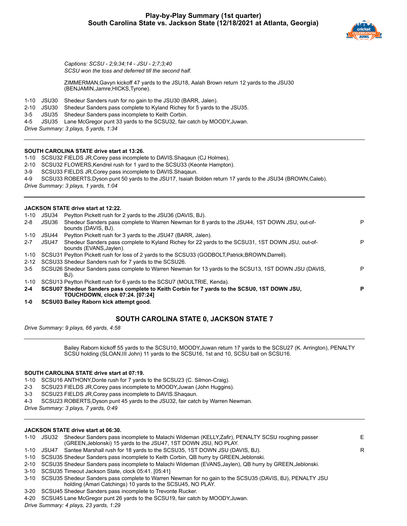

*Captions: SCSU - 2;9;34;14 - JSU - 2;7;3;40 SCSU won the toss and deferred till the second half.*

ZIMMERMAN,Gavyn kickoff 47 yards to the JSU18, Aalah Brown return 12 yards to the JSU30 (BENJAMIN,Jamre;HICKS,Tyrone).

- 1-10 JSU30 Shedeur Sanders rush for no gain to the JSU30 (BARR, Jalen).
- 2-10 JSU30 Shedeur Sanders pass complete to Kyland Richey for 5 yards to the JSU35.
- 3-5 JSU35 Shedeur Sanders pass incomplete to Keith Corbin.
- 4-5 JSU35 Lane McGregor punt 33 yards to the SCSU32, fair catch by MOODY,Juwan.
- *Drive Summary: 3 plays, 5 yards, 1:34*

#### **SOUTH CAROLINA STATE drive start at 13:26.**

1-10 SCSU32 FIELDS JR,Corey pass incomplete to DAVIS.Shaqaun (CJ Holmes).

- 2-10 SCSU32 FLOWERS,Kendrel rush for 1 yard to the SCSU33 (Keonte Hampton).
- 3-9 SCSU33 FIELDS JR,Corey pass incomplete to DAVIS.Shaqaun.
- 4-9 SCSU33 ROBERTS,Dyson punt 50 yards to the JSU17, Isaiah Bolden return 17 yards to the JSU34 (BROWN,Caleb).

*Drive Summary: 3 plays, 1 yards, 1:04*

#### **JACKSON STATE drive start at 12:22.**

1-10 JSU34 Peytton Pickett rush for 2 yards to the JSU36 (DAVIS, BJ). 2-8 JSU36 Shedeur Sanders pass complete to Warren Newman for 8 yards to the JSU44, 1ST DOWN JSU, out-ofbounds (DAVIS, BJ). P 1-10 JSU44 Peytton Pickett rush for 3 yards to the JSU47 (BARR, Jalen). 2-7 JSU47 Shedeur Sanders pass complete to Kyland Richey for 22 yards to the SCSU31, 1ST DOWN JSU, out-ofbounds (EVANS,Jaylen). P 1-10 SCSU31 Peytton Pickett rush for loss of 2 yards to the SCSU33 (GODBOLT,Patrick;BROWN,Darrell). 2-12 SCSU33 Shedeur Sanders rush for 7 yards to the SCSU26. 3-5 SCSU26 Shedeur Sanders pass complete to Warren Newman for 13 yards to the SCSU13, 1ST DOWN JSU (DAVIS, BJ). P 1-10 SCSU13 Peytton Pickett rush for 6 yards to the SCSU7 (MOULTRIE, Kenda). **2-4 SCSU07 Shedeur Sanders pass complete to Keith Corbin for 7 yards to the SCSU0, 1ST DOWN JSU, TOUCHDOWN, clock 07:24. [07:24] P 1-0 SCSU03 Bailey Raborn kick attempt good.**

## **SOUTH CAROLINA STATE 0, JACKSON STATE 7**

*Drive Summary: 9 plays, 66 yards, 4:58*

Bailey Raborn kickoff 55 yards to the SCSU10, MOODY,Juwan return 17 yards to the SCSU27 (K. Arrington), PENALTY SCSU holding (SLOAN,III John) 11 yards to the SCSU16, 1st and 10, SCSU ball on SCSU16.

#### **SOUTH CAROLINA STATE drive start at 07:19.**

- 1-10 SCSU16 ANTHONY,Donte rush for 7 yards to the SCSU23 (C. Silmon-Craig).
- 2-3 SCSU23 FIELDS JR,Corey pass incomplete to MOODY,Juwan (John Huggins).
- 3-3 SCSU23 FIELDS JR,Corey pass incomplete to DAVIS.Shaqaun.
- 4-3 SCSU23 ROBERTS,Dyson punt 45 yards to the JSU32, fair catch by Warren Newman.

*Drive Summary: 3 plays, 7 yards, 0:49*

#### **JACKSON STATE drive start at 06:30.**

|  | 1-10 JSU32 Shedeur Sanders pass incomplete to Malachi Wideman (KELLY, Zafir), PENALTY SCSU roughing passer |   |
|--|------------------------------------------------------------------------------------------------------------|---|
|  | (GREEN, Jeblonski) 15 yards to the JSU47, 1ST DOWN JSU, NO PLAY.                                           |   |
|  | 1-10 JSU47 Santee Marshall rush for 18 yards to the SCSU35, 1ST DOWN JSU (DAVIS, BJ).                      | R |
|  | 1-10 SCSU35 Shedeur Sanders pass incomplete to Keith Corbin, QB hurry by GREEN, Jeblonski.                 |   |
|  |                                                                                                            |   |

- 2-10 SCSU35 Shedeur Sanders pass incomplete to Malachi Wideman (EVANS,Jaylen), QB hurry by GREEN,Jeblonski.
- 3-10 SCSU35 Timeout Jackson State, clock 05:41. [05:41]
- 3-10 SCSU35 Shedeur Sanders pass complete to Warren Newman for no gain to the SCSU35 (DAVIS, BJ), PENALTY JSU holding (Amari Catchings) 10 yards to the SCSU45, NO PLAY.
- 3-20 SCSU45 Shedeur Sanders pass incomplete to Trevonte Rucker.
- 4-20 SCSU45 Lane McGregor punt 26 yards to the SCSU19, fair catch by MOODY,Juwan.

*Drive Summary: 4 plays, 23 yards, 1:29*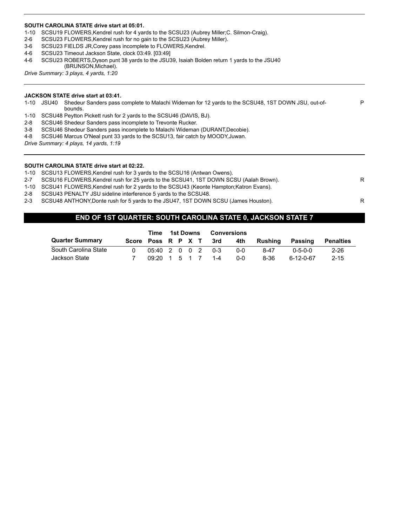#### **SOUTH CAROLINA STATE drive start at 05:01.**

- 1-10 SCSU19 FLOWERS,Kendrel rush for 4 yards to the SCSU23 (Aubrey Miller;C. Silmon-Craig).
- 2-6 SCSU23 FLOWERS,Kendrel rush for no gain to the SCSU23 (Aubrey Miller).
- 3-6 SCSU23 FIELDS JR,Corey pass incomplete to FLOWERS,Kendrel.
- 4-6 SCSU23 Timeout Jackson State, clock 03:49. [03:49]
- 4-6 SCSU23 ROBERTS,Dyson punt 38 yards to the JSU39, Isaiah Bolden return 1 yards to the JSU40 (BRUNSON,Michael).

*Drive Summary: 3 plays, 4 yards, 1:20*

#### **JACKSON STATE drive start at 03:41.**

1-10 JSU40 Shedeur Sanders pass complete to Malachi Wideman for 12 yards to the SCSU48, 1ST DOWN JSU, out-ofbounds.

P

- 1-10 SCSU48 Peytton Pickett rush for 2 yards to the SCSU46 (DAVIS, BJ).
- 2-8 SCSU46 Shedeur Sanders pass incomplete to Trevonte Rucker.
- 3-8 SCSU46 Shedeur Sanders pass incomplete to Malachi Wideman (DURANT,Decobie).
- 4-8 SCSU46 Marcus O'Neal punt 33 yards to the SCSU13, fair catch by MOODY,Juwan.

*Drive Summary: 4 plays, 14 yards, 1:19*

#### **SOUTH CAROLINA STATE drive start at 02:22.**

1-10 SCSU13 FLOWERS,Kendrel rush for 3 yards to the SCSU16 (Antwan Owens).

- 2-7 SCSU16 FLOWERS, Kendrel rush for 25 yards to the SCSU41, 1ST DOWN SCSU (Aalah Brown).
- 1-10 SCSU41 FLOWERS,Kendrel rush for 2 yards to the SCSU43 (Keonte Hampton;Katron Evans).
- 2-8 SCSU43 PENALTY JSU sideline interference 5 yards to the SCSU48.
- 2-3 SCSU48 ANTHONY, Donte rush for 5 yards to the JSU47, 1ST DOWN SCSU (James Houston).

## **END OF 1ST QUARTER: SOUTH CAROLINA STATE 0, JACKSON STATE 7**

|                        |                        |                                                    | Time 1st Downs |  |  | Conversions |     |         |           |           |
|------------------------|------------------------|----------------------------------------------------|----------------|--|--|-------------|-----|---------|-----------|-----------|
| <b>Quarter Summary</b> | Score Poss R P X T 3rd |                                                    |                |  |  |             | 4th | Rushina | Passing   | Penalties |
| South Carolina State   | 0                      | 05:40 2 0 0 2 0-3                                  |                |  |  |             | ი-ი | 8-47    | 0-5-0-0   | $2 - 26$  |
| Jackson State          |                        | $0.9:20 \quad 1 \quad 5 \quad 1 \quad 7 \quad 1-4$ |                |  |  |             | 0-0 | 8-36    | 6-12-0-67 | $2 - 15$  |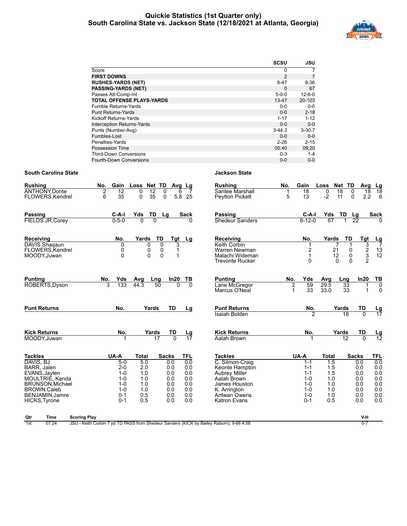## **Quickie Statistics (1st Quarter only) South Carolina State vs. Jackson State (12/18/2021 at Atlanta, Georgia)**



|                                   | <b>SCSU</b>    | JSU          |
|-----------------------------------|----------------|--------------|
| Score                             | 0              |              |
| <b>FIRST DOWNS</b>                | $\overline{2}$ | 7            |
| <b>RUSHES-YARDS (NET)</b>         | $8 - 47$       | $8 - 36$     |
| <b>PASSING-YARDS (NET)</b>        | $\Omega$       | 67           |
| Passes Att-Comp-Int               | $5-0-0$        | $12 - 6 - 0$ |
| <b>TOTAL OFFENSE PLAYS-YARDS</b>  | $13 - 47$      | 20-103       |
| <b>Fumble Returns-Yards</b>       | $0 - 0$        | $0 - 0$      |
| <b>Punt Returns-Yards</b>         | $0 - 0$        | $2 - 18$     |
| Kickoff Returns-Yards             | $1 - 17$       | $1 - 12$     |
| <b>Interception Returns-Yards</b> | $0 - 0$        | $0-0$        |
| Punts (Number-Avg)                | $3 - 44.3$     | $3 - 30.7$   |
| Fumbles-Lost                      | $0 - 0$        | $0 - 0$      |
| Penalties-Yards                   | $2 - 26$       | $2 - 15$     |
| Possession Time                   | 05:40          | 09:20        |
| <b>Third-Down Conversions</b>     | $0 - 3$        | $1 - 4$      |
| Fourth-Down Conversions           | $0 - 0$        | $0 - 0$      |

## **South Carolina State Jackson State**

| <b>Rushing</b><br><b>ANTHONY, Donte</b><br>FLOWERS, Kendrel                                                                                                         | No.<br>Gain<br>$\overline{12}$<br>2<br>6<br>35                                             | Loss Net TD<br>$\overline{12}$<br>0<br>$\Omega$<br>35<br>0<br>$\mathbf 0$                                                                    | Avg Lg<br>6<br>5.8<br>25                                           | <b>Rushing</b><br>Santee Marshall<br>Peytton Pickett                                                                                                               | No.<br>5      | Gain<br>$\overline{18}$<br>13                                                                | Loss<br>0<br>$\overline{18}$<br>$-2$<br>11                           | Net TD<br>$\Omega$<br>$\mathbf{0}$                                   | Avg<br>Lg<br>$\overline{18}$<br>18<br>2.2<br>6                                                           |
|---------------------------------------------------------------------------------------------------------------------------------------------------------------------|--------------------------------------------------------------------------------------------|----------------------------------------------------------------------------------------------------------------------------------------------|--------------------------------------------------------------------|--------------------------------------------------------------------------------------------------------------------------------------------------------------------|---------------|----------------------------------------------------------------------------------------------|----------------------------------------------------------------------|----------------------------------------------------------------------|----------------------------------------------------------------------------------------------------------|
| <b>Passing</b><br><b>FIELDS JR, Corey</b>                                                                                                                           | C-A-I<br>$0 - 5 - 0$                                                                       | TD<br>Yds<br>Lg<br>$\Omega$<br>$\Omega$                                                                                                      | <b>Sack</b><br><sup>0</sup>                                        | Passing<br><b>Shedeur Sanders</b>                                                                                                                                  |               | $C-A-I$<br>$6 - 12 - 0$                                                                      | Yds<br>67                                                            | TD<br>Lg<br>22                                                       | <b>Sack</b>                                                                                              |
| Receiving<br>DAVIS.Shagaun<br>FLOWERS.Kendrel<br>MOODY, Juwan                                                                                                       | No.<br>0<br>0<br>0                                                                         | Yards<br>TD<br>$\Omega$<br>0<br>0<br>0<br>0<br>0                                                                                             | Tgt<br>Lg<br>3<br>1<br>1                                           | Receiving<br>Keith Corbin<br>Warren Newman<br>Malachi Wideman<br><b>Trevonte Rucker</b>                                                                            |               | No.<br>2<br>$\mathbf{1}$<br>0                                                                | Yards<br>7<br>21<br>12<br>0                                          | TD<br>0<br>0<br>0                                                    | Tgt<br>$\frac{Lg}{7}$<br>3<br>$\frac{2}{3}$<br>$\begin{array}{c} 13 \\ 12 \end{array}$<br>$\overline{2}$ |
| <b>Punting</b><br>ROBERTS, Dyson                                                                                                                                    | No.<br>Yds<br>3<br>133                                                                     | Avg<br>Lng<br>44.3<br>50                                                                                                                     | In20<br>ТВ<br>$\Omega$<br>$\Omega$                                 | <b>Punting</b><br>Lane McGregor<br>Marcus O'Neal                                                                                                                   | No.<br>2<br>1 | Yds<br>59<br>33                                                                              | Avg<br>29.5<br>33.0                                                  | Lng<br>33<br>33                                                      | In20<br>TB<br>$\overline{0}$<br>$\Omega$                                                                 |
| <b>Punt Returns</b>                                                                                                                                                 | No.                                                                                        | Yards                                                                                                                                        | TD<br>Lg                                                           | <b>Punt Returns</b><br><b>Isaiah Bolden</b>                                                                                                                        |               | No.<br>$\overline{2}$                                                                        |                                                                      | Yards<br>TD<br>18                                                    | <u>Lg</u><br>17<br>$\overline{0}$                                                                        |
| <b>Kick Returns</b><br>MOODY, Juwan                                                                                                                                 | No.                                                                                        | Yards<br>17                                                                                                                                  | TD<br>Lg<br>$\overline{0}$<br>17                                   | <b>Kick Returns</b><br>Aalah Brown                                                                                                                                 |               | No.                                                                                          |                                                                      | Yards<br>TD<br>$\overline{12}$                                       | $\frac{Lg}{12}$<br>$\overline{0}$                                                                        |
| <b>Tackles</b><br>DAVIS, BJ<br>BARR, Jalen<br>EVANS, Jaylen<br>MOULTRIE, Kenda<br>BRUNSON, Michael<br><b>BROWN.Caleb</b><br>BENJAMIN, Jamre<br><b>HICKS, Tyrone</b> | UA-A<br>$5-0$<br>$2 - 0$<br>$1 - 0$<br>$1 - 0$<br>$1 - 0$<br>$1 - 0$<br>$0 - 1$<br>$0 - 1$ | <b>Total</b><br><b>Sacks</b><br>5.0<br>0.0<br>2.0<br>0.0<br>1.0<br>0.0<br>1.0<br>0.0<br>1.0<br>0.0<br>1.0<br>0.0<br>0.5<br>0.0<br>0.5<br>0.0 | <b>TFL</b><br>0.0<br>0.0<br>0.0<br>0.0<br>0.0<br>0.0<br>0.0<br>0.0 | <b>Tackles</b><br>C. Silmon-Craig<br>Keonte Hampton<br><b>Aubrey Miller</b><br>Aalah Brown<br>James Houston<br>K. Arrington<br><b>Antwan Owens</b><br>Katron Evans |               | UA-A<br>$1 - 1$<br>$1 - 1$<br>$1 - 1$<br>$1 - 0$<br>$1 - 0$<br>$1 - 0$<br>$1 - 0$<br>$0 - 1$ | <b>Total</b><br>1.5<br>1.5<br>1.5<br>1.0<br>1.0<br>1.0<br>1.0<br>0.5 | <b>Sacks</b><br>0.0<br>0.0<br>0.0<br>0.0<br>0.0<br>0.0<br>0.0<br>0.0 | <b>TFL</b><br>0.0<br>0.0<br>0.0<br>0.0<br>0.0<br>0.0<br>0.0<br>0.0                                       |
| <b>Scoring Play</b><br>Qtr<br>Time                                                                                                                                  |                                                                                            |                                                                                                                                              |                                                                    |                                                                                                                                                                    |               |                                                                                              |                                                                      |                                                                      | V-H                                                                                                      |

1st 07:24 JSU - Keith Corbin 7 yd TD PASS from Shedeur Sanders (KICK by Bailey Raborn), 9-66 4:58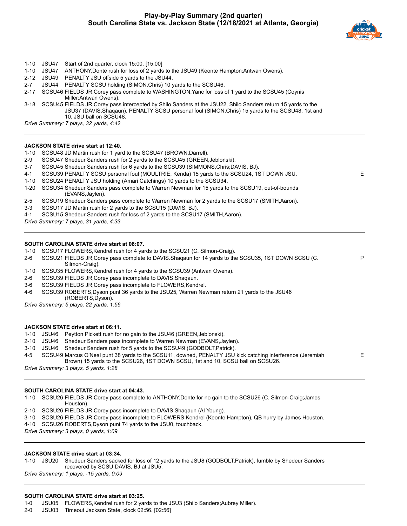

P

E

- 1-10 JSU47 Start of 2nd quarter, clock 15:00. [15:00]
- 1-10 JSU47 ANTHONY,Donte rush for loss of 2 yards to the JSU49 (Keonte Hampton;Antwan Owens).
- 2-12 JSU49 PENALTY JSU offside 5 yards to the JSU44.
- 2-7 JSU44 PENALTY SCSU holding (SIMON,Chris) 10 yards to the SCSU46.
- 2-17 SCSU46 FIELDS JR,Corey pass complete to WASHINGTON,Yanc for loss of 1 yard to the SCSU45 (Coynis Miller;Antwan Owens).

3-18 SCSU45 FIELDS JR,Corey pass intercepted by Shilo Sanders at the JSU22, Shilo Sanders return 15 yards to the JSU37 (DAVIS.Shaqaun), PENALTY SCSU personal foul (SIMON,Chris) 15 yards to the SCSU48, 1st and 10, JSU ball on SCSU48.

*Drive Summary: 7 plays, 32 yards, 4:42*

#### **JACKSON STATE drive start at 12:40.**

- 1-10 SCSU48 JD Martin rush for 1 yard to the SCSU47 (BROWN,Darrell).
- 2-9 SCSU47 Shedeur Sanders rush for 2 yards to the SCSU45 (GREEN,Jeblonski).
- 3-7 SCSU45 Shedeur Sanders rush for 6 yards to the SCSU39 (SIMMONS,Chris;DAVIS, BJ).
- 4-1 SCSU39 PENALTY SCSU personal foul (MOULTRIE, Kenda) 15 yards to the SCSU24, 1ST DOWN JSU. E
- 1-10 SCSU24 PENALTY JSU holding (Amari Catchings) 10 yards to the SCSU34.
- 1-20 SCSU34 Shedeur Sanders pass complete to Warren Newman for 15 yards to the SCSU19, out-of-bounds (EVANS,Jaylen).
- 2-5 SCSU19 Shedeur Sanders pass complete to Warren Newman for 2 yards to the SCSU17 (SMITH,Aaron).
- 3-3 SCSU17 JD Martin rush for 2 yards to the SCSU15 (DAVIS, BJ).
- 4-1 SCSU15 Shedeur Sanders rush for loss of 2 yards to the SCSU17 (SMITH,Aaron).

*Drive Summary: 7 plays, 31 yards, 4:33*

#### **SOUTH CAROLINA STATE drive start at 08:07.**

- 1-10 SCSU17 FLOWERS,Kendrel rush for 4 yards to the SCSU21 (C. Silmon-Craig).
- 2-6 SCSU21 FIELDS JR,Corey pass complete to DAVIS.Shaqaun for 14 yards to the SCSU35, 1ST DOWN SCSU (C. Silmon-Craig).
- 1-10 SCSU35 FLOWERS,Kendrel rush for 4 yards to the SCSU39 (Antwan Owens).
- 2-6 SCSU39 FIELDS JR,Corey pass incomplete to DAVIS.Shaqaun.
- 3-6 SCSU39 FIELDS JR,Corey pass incomplete to FLOWERS,Kendrel.
- 4-6 SCSU39 ROBERTS,Dyson punt 36 yards to the JSU25, Warren Newman return 21 yards to the JSU46 (ROBERTS,Dyson).

*Drive Summary: 5 plays, 22 yards, 1:56*

#### **JACKSON STATE drive start at 06:11.**

- 1-10 JSU46 Peytton Pickett rush for no gain to the JSU46 (GREEN,Jeblonski).
- 2-10 JSU46 Shedeur Sanders pass incomplete to Warren Newman (EVANS,Jaylen).
- 3-10 JSU46 Shedeur Sanders rush for 5 yards to the SCSU49 (GODBOLT,Patrick).
- 4-5 SCSU49 Marcus O'Neal punt 38 yards to the SCSU11, downed, PENALTY JSU kick catching interference (Jeremiah Brown) 15 yards to the SCSU26, 1ST DOWN SCSU, 1st and 10, SCSU ball on SCSU26.

*Drive Summary: 3 plays, 5 yards, 1:28*

#### **SOUTH CAROLINA STATE drive start at 04:43.**

1-10 SCSU26 FIELDS JR,Corey pass complete to ANTHONY,Donte for no gain to the SCSU26 (C. Silmon-Craig;James Houston).

- 2-10 SCSU26 FIELDS JR,Corey pass incomplete to DAVIS.Shaqaun (Al Young).
- 3-10 SCSU26 FIELDS JR,Corey pass incomplete to FLOWERS,Kendrel (Keonte Hampton), QB hurry by James Houston.

4-10 SCSU26 ROBERTS,Dyson punt 74 yards to the JSU0, touchback.

*Drive Summary: 3 plays, 0 yards, 1:09*

#### **JACKSON STATE drive start at 03:34.**

1-10 JSU20 Shedeur Sanders sacked for loss of 12 yards to the JSU8 (GODBOLT,Patrick), fumble by Shedeur Sanders recovered by SCSU DAVIS, BJ at JSU5.

*Drive Summary: 1 plays, -15 yards, 0:09*

#### **SOUTH CAROLINA STATE drive start at 03:25.**

1-0 JSU05 FLOWERS,Kendrel rush for 2 yards to the JSU3 (Shilo Sanders;Aubrey Miller).

2-0 JSU03 Timeout Jackson State, clock 02:56. [02:56]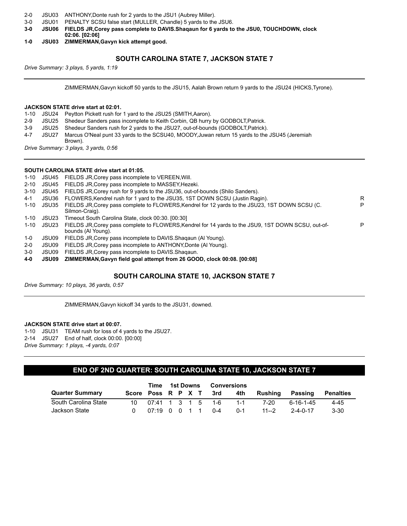- 2-0 JSU03 ANTHONY,Donte rush for 2 yards to the JSU1 (Aubrey Miller).
- 3-0 JSU01 PENALTY SCSU false start (MULLER, Chandle) 5 yards to the JSU6.
- **3-0 JSU06 FIELDS JR,Corey pass complete to DAVIS.Shaqaun for 6 yards to the JSU0, TOUCHDOWN, clock 02:06. [02:06]**
- **1-0 JSU03 ZIMMERMAN,Gavyn kick attempt good.**

## **SOUTH CAROLINA STATE 7, JACKSON STATE 7**

*Drive Summary: 3 plays, 5 yards, 1:19*

ZIMMERMAN,Gavyn kickoff 50 yards to the JSU15, Aalah Brown return 9 yards to the JSU24 (HICKS,Tyrone).

#### **JACKSON STATE drive start at 02:01.**

- 1-10 JSU24 Peytton Pickett rush for 1 yard to the JSU25 (SMITH,Aaron).
- 2-9 JSU25 Shedeur Sanders pass incomplete to Keith Corbin, QB hurry by GODBOLT,Patrick.
- 3-9 JSU25 Shedeur Sanders rush for 2 yards to the JSU27, out-of-bounds (GODBOLT,Patrick).
- 4-7 JSU27 Marcus O'Neal punt 33 yards to the SCSU40, MOODY,Juwan return 15 yards to the JSU45 (Jeremiah Brown).

*Drive Summary: 3 plays, 3 yards, 0:56*

#### **SOUTH CAROLINA STATE drive start at 01:05.**

- 1-10 JSU45 FIELDS JR,Corey pass incomplete to VEREEN,Will.
- 2-10 JSU45 FIELDS JR,Corey pass incomplete to MASSEY,Hezeki.
- 3-10 JSU45 FIELDS JR,Corey rush for 9 yards to the JSU36, out-of-bounds (Shilo Sanders).
- 4-1 JSU36 FLOWERS,Kendrel rush for 1 yard to the JSU35, 1ST DOWN SCSU (Justin Ragin). R
- 1-10 JSU35 FIELDS JR,Corey pass complete to FLOWERS,Kendrel for 12 yards to the JSU23, 1ST DOWN SCSU (C. Silmon-Craig). P 1-10 JSU23 Timeout South Carolina State, clock 00:30. [00:30] 1-10 JSU23 FIELDS JR,Corey pass complete to FLOWERS,Kendrel for 14 yards to the JSU9, 1ST DOWN SCSU, out-ofbounds (Al Young). P 1-0 JSU09 FIELDS JR,Corey pass incomplete to DAVIS.Shaqaun (Al Young).
- 2-0 JSU09 FIELDS JR,Corey pass incomplete to ANTHONY,Donte (Al Young).
- 3-0 JSU09 FIELDS JR,Corey pass incomplete to DAVIS.Shaqaun.
- **4-0 JSU09 ZIMMERMAN,Gavyn field goal attempt from 26 GOOD, clock 00:08. [00:08]**

## **SOUTH CAROLINA STATE 10, JACKSON STATE 7**

*Drive Summary: 10 plays, 36 yards, 0:57*

ZIMMERMAN,Gavyn kickoff 34 yards to the JSU31, downed.

#### **JACKSON STATE drive start at 00:07.**

1-10 JSU31 TEAM rush for loss of 4 yards to the JSU27. 2-14 JSU27 End of half, clock 00:00. [00:00] *Drive Summary: 1 plays, -4 yards, 0:07*

## **END OF 2ND QUARTER: SOUTH CAROLINA STATE 10, JACKSON STATE 7**

|                        |                        | Time                 | 1st Downs |  |  | Conversions |         |         |           |                  |
|------------------------|------------------------|----------------------|-----------|--|--|-------------|---------|---------|-----------|------------------|
| <b>Quarter Summary</b> | Score Poss R P X T 3rd |                      |           |  |  |             | 4th     | Rushina | Passing   | <b>Penalties</b> |
| South Carolina State   |                        | 10 07:41 1 3 1 5 1-6 |           |  |  |             | $1 - 1$ | 7-20    | 6-16-1-45 | 4-45             |
| Jackson State          |                        | 07190011             |           |  |  | $0 - 4$     | በ-1     | $11--2$ | 2-4-0-17  | $3 - 30$         |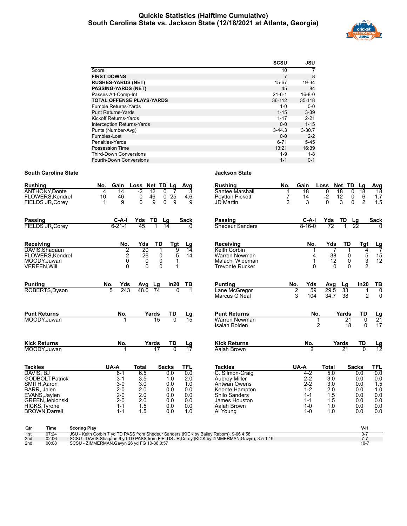## **Quickie Statistics (Halftime Cumulative) South Carolina State vs. Jackson State (12/18/2021 at Atlanta, Georgia)**



|                                   | <b>SCSU</b>  | JSU          |
|-----------------------------------|--------------|--------------|
| Score                             | 10           | 7            |
| <b>FIRST DOWNS</b>                | 7            | 8            |
| <b>RUSHES-YARDS (NET)</b>         | 15-67        | 19-34        |
| <b>PASSING-YARDS (NET)</b>        | 45           | 84           |
| Passes Att-Comp-Int               | $21 - 6 - 1$ | $16 - 8 - 0$ |
| <b>TOTAL OFFENSE PLAYS-YARDS</b>  | 36-112       | 35-118       |
| <b>Fumble Returns-Yards</b>       | $1 - 0$      | $0-0$        |
| <b>Punt Returns-Yards</b>         | $1 - 15$     | $3 - 39$     |
| Kickoff Returns-Yards             | $1 - 17$     | $2 - 21$     |
| <b>Interception Returns-Yards</b> | $0 - 0$      | $1 - 15$     |
| Punts (Number-Avg)                | $3 - 44.3$   | $3 - 30.7$   |
| Fumbles-Lost                      | $0 - 0$      | $2 - 2$      |
| Penalties-Yards                   | $6 - 71$     | $5 - 45$     |
| <b>Possession Time</b>            | 13:21        | 16:39        |
| <b>Third-Down Conversions</b>     | $1 - 9$      | $1 - 8$      |
| Fourth-Down Conversions           | $1 - 1$      | $0 - 1$      |

| <b>Rushing</b><br><b>ANTHONY Donte</b><br>FLOWERS, Kendrel<br><b>FIELDS JR, Corev</b>                                                                                | Gain<br>No.<br>$\overline{14}$<br>4<br>46<br>10<br>9                                     | Loss Net TD Lg<br>$-2$<br>$\overline{12}$<br>46<br>0<br>9<br>$\Omega$                          | $\Omega$<br>7<br>$\mathsf 0$<br>$\frac{25}{9}$<br>$\Omega$           | Avg<br>3<br>4.6<br>9                                               | <b>Rushing</b><br>Santee Marshall<br><b>Pevtton Pickett</b><br>JD Martin                                                                                 | No.<br>7<br>$\overline{2}$ | Gain<br>$\overline{18}$<br>14<br>3                                                 | Loss<br>$\overline{0}$<br>$\frac{-2}{0}$                             | Net TD<br>18<br>$\frac{12}{3}$                   | Lg<br>$\overline{18}$<br>0<br>$\frac{6}{2}$<br>0<br>$\overline{0}$   | <b>Avg</b><br>$\overline{18}$<br>$1.7$<br>$1.5$                    |
|----------------------------------------------------------------------------------------------------------------------------------------------------------------------|------------------------------------------------------------------------------------------|------------------------------------------------------------------------------------------------|----------------------------------------------------------------------|--------------------------------------------------------------------|----------------------------------------------------------------------------------------------------------------------------------------------------------|----------------------------|------------------------------------------------------------------------------------|----------------------------------------------------------------------|--------------------------------------------------|----------------------------------------------------------------------|--------------------------------------------------------------------|
| <b>Passing</b><br><b>FIELDS JR, Corey</b>                                                                                                                            | C-A-I<br>$6 - 21 - 1$                                                                    | Yds<br>TD<br>45<br>1                                                                           | Lg<br>$\overline{14}$                                                | Sack<br>0                                                          | Passing<br>Shedeur Sanders                                                                                                                               |                            | C-A-I<br>$8 - 16 - 0$                                                              | Yds<br>72                                                            | TD                                               | <u>Lg</u><br>$\overline{22}$                                         | <b>Sack</b>                                                        |
| Receiving<br>DAVIS.Shaqaun<br>FLOWERS, Kendrel<br>MOODY.Juwan<br><b>VEREEN, Will</b>                                                                                 | No.<br>$\overline{2}$<br>$\frac{2}{0}$<br>$\Omega$                                       | TD<br>Yds<br>20<br>$\mathbf{1}$<br>26<br>$\mathbf 0$<br>$\pmb{0}$<br>0<br>$\Omega$<br>$\Omega$ | Tgt<br>9<br>5<br>1<br>1                                              | Lg<br>$\overline{14}$<br>14                                        | Receiving<br>Keith Corbin<br>Warren Newman<br>Malachi Wideman<br><b>Trevonte Rucker</b>                                                                  |                            | No.<br>4<br>$\mathbf{1}$<br>$\Omega$                                               | Yds<br>$\overline{7}$<br>38<br>12<br>$\Omega$                        | TD<br>$\mathbf{1}$<br>0<br>$\pmb{0}$<br>$\Omega$ | Tgt<br>4<br>$\frac{5}{3}$<br>$\mathfrak{p}$                          | $\frac{Lg}{7}$<br>$\frac{15}{12}$                                  |
| <b>Punting</b><br>ROBERTS, Dyson                                                                                                                                     | Yds<br>No.<br>5<br>243                                                                   | Lg<br>Avg<br>48.6<br>74                                                                        | In20                                                                 | ΤВ                                                                 | <b>Punting</b><br>Lane McGregor<br>Marcus O'Neal                                                                                                         | No.<br>$\overline{2}$<br>3 | Yds<br>59<br>104                                                                   | Avg<br>29.5<br>34.7                                                  | Lg<br>33<br>38                                   | ln20<br>1<br>$\overline{2}$                                          | TB<br>$\overline{0}$<br>$\mathbf 0$                                |
| <b>Punt Returns</b><br>MOODY.Juwan                                                                                                                                   | No.<br>1                                                                                 | Yards<br>15                                                                                    | TD<br>$\overline{0}$                                                 | $\frac{\text{Lg}}{15}$                                             | <b>Punt Returns</b><br>Warren Newman<br>Isaiah Bolden                                                                                                    |                            | No.                                                                                | 1<br>$\overline{2}$                                                  | Yards<br>$\overline{21}$<br>18                   | TD<br>$\overline{0}$<br>$\Omega$                                     | $\frac{Lg}{21}$<br>17                                              |
| <b>Kick Returns</b><br>MOODY, Juwan                                                                                                                                  | No.<br>1                                                                                 | Yards<br>17                                                                                    | TD<br>$\overline{0}$                                                 | <u>Lg</u><br>$\overline{17}$                                       | <b>Kick Returns</b><br>Aalah Brown                                                                                                                       |                            | No.<br>$\overline{2}$                                                              |                                                                      | Yards<br>21                                      | TD<br>$\Omega$                                                       | $\frac{Lg}{12}$                                                    |
| <b>Tackles</b><br>DAVIS, BJ<br>GODBOLT, Patrick<br>SMITH, Aaron<br>BARR, Jalen<br>EVANS, Jaylen<br>GREEN, Jeblonski<br><b>HICKS, Tyrone</b><br><b>BROWN, Darrell</b> | UA-A<br>$6-1$<br>$3 - 1$<br>$3-0$<br>$2 - 0$<br>$2 - 0$<br>$2 - 0$<br>$1 - 1$<br>$1 - 1$ | <b>Total</b><br>6.5<br>3.5<br>3.0<br>2.0<br>2.0<br>2.0<br>1.5<br>1.5                           | <b>Sacks</b><br>0.0<br>1.0<br>0.0<br>0.0<br>0.0<br>0.0<br>0.0<br>0.0 | <b>TFL</b><br>0.0<br>2.0<br>1.0<br>0.0<br>0.0<br>0.0<br>0.0<br>1.0 | <b>Tackles</b><br>C. Silmon-Craig<br><b>Aubrey Miller</b><br>Antwan Owens<br>Keonte Hampton<br>Shilo Sanders<br>James Houston<br>Aalah Brown<br>Al Young | UA-A                       | $4-2$<br>$2 - 2$<br>$2 - 2$<br>$1 - 2$<br>$1 - 1$<br>$1 - 1$<br>$1 - 0$<br>$1 - 0$ | <b>Total</b><br>5.0<br>3.0<br>3.0<br>2.0<br>1.5<br>1.5<br>1.0<br>1.0 |                                                  | <b>Sacks</b><br>0.0<br>0.0<br>0.0<br>0.0<br>0.0<br>0.0<br>0.0<br>0.0 | <b>TFL</b><br>0.0<br>0.0<br>1.5<br>1.0<br>0.0<br>0.0<br>0.0<br>0.0 |

| Qtr             | Time  | <b>Scoring Play</b>                                                                           |        |
|-----------------|-------|-----------------------------------------------------------------------------------------------|--------|
| 1st             | 07:24 | JSU - Keith Corbin 7 vd TD PASS from Shedeur Sanders (KICK by Bailey Raborn), 9-66 4:58       |        |
| 2nd             | 02:06 | SCSU - DAVIS. Shaqaun 6 yd TD PASS from FIELDS JR, Corey (KICK by ZIMMERMAN, Gavyn), 3-5 1:19 |        |
| 2 <sub>nd</sub> | 00:08 | SCSU - ZIMMERMAN, Gavyn 26 yd FG 10-36 0:57                                                   | $10-7$ |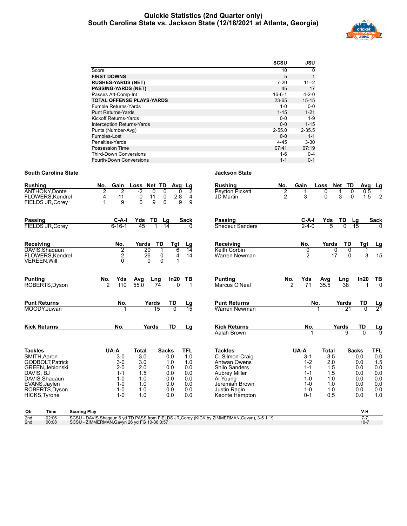## **Quickie Statistics (2nd Quarter only) South Carolina State vs. Jackson State (12/18/2021 at Atlanta, Georgia)**



|                                   | <b>SCSU</b>  | JSU         |
|-----------------------------------|--------------|-------------|
| Score                             | 10           | $\Omega$    |
| <b>FIRST DOWNS</b>                | 5            |             |
| <b>RUSHES-YARDS (NET)</b>         | $7 - 20$     | $11 - 2$    |
| <b>PASSING-YARDS (NET)</b>        | 45           | 17          |
| Passes Att-Comp-Int               | $16 - 6 - 1$ | $4 - 2 - 0$ |
| <b>TOTAL OFFENSE PLAYS-YARDS</b>  | 23-65        | $15 - 15$   |
| Fumble Returns-Yards              | $1 - 0$      | $0 - 0$     |
| <b>Punt Returns-Yards</b>         | $1 - 15$     | $1 - 21$    |
| Kickoff Returns-Yards             | $0 - 0$      | $1 - 9$     |
| <b>Interception Returns-Yards</b> | $0 - 0$      | $1 - 15$    |
| Punts (Number-Avg)                | $2 - 55.0$   | $2 - 35.5$  |
| Fumbles-Lost                      | $0 - 0$      | $1 - 1$     |
| Penalties-Yards                   | $4 - 45$     | $3 - 30$    |
| Possession Time                   | 07:41        | 07:19       |
| <b>Third-Down Conversions</b>     | 1-6          | $0 - 4$     |
| Fourth-Down Conversions           | $1 - 1$      | $0 - 1$     |

| <b>Rushing</b><br><b>ANTHONY Donte</b><br>FLOWERS, Kendrel | No.<br>Gain<br>$\overline{2}$<br>2<br>11<br>4 | Loss Net TD<br>$-2$<br>0<br>11<br>0 | 0<br>0<br>0                                    | Avg_Lg<br>2<br>$\overline{4}$ | <b>Rushing</b><br><b>Peytton Pickett</b><br>JD Martin                                        | No.<br>2<br>$\overline{2}$ | Gain<br>3           | Loss<br>0<br>$\Omega$ | Net TD<br>$\Omega$<br>3<br>$\mathbf{0}$ | Avg<br>0.5<br>1.5   | <u>Lg</u><br>$\mathbf 1$<br>$\overline{2}$ |
|------------------------------------------------------------|-----------------------------------------------|-------------------------------------|------------------------------------------------|-------------------------------|----------------------------------------------------------------------------------------------|----------------------------|---------------------|-----------------------|-----------------------------------------|---------------------|--------------------------------------------|
| FIELDS JR, Corey                                           | 9<br>1                                        | 9<br>$\Omega$                       | $2.8$<br>9<br>$\Omega$                         | 9                             |                                                                                              |                            |                     |                       |                                         |                     |                                            |
| Passing                                                    | C-A-I                                         | Yds<br>TD                           | Lg                                             | <b>Sack</b>                   | Passing                                                                                      |                            | C-A-I               | Yds                   | TD                                      | Lg                  | <b>Sack</b>                                |
| <b>FIELDS JR, Corey</b>                                    | $6 - 16 - 1$                                  | 45<br>1                             | $\overline{14}$                                | 0                             | <b>Shedeur Sanders</b>                                                                       |                            | $2 - 4 - 0$         | 5                     | $\overline{0}$                          | 15                  |                                            |
| Receiving                                                  | No.                                           | Yards                               | TD<br><b>Tgt</b>                               | Lg                            | Receiving                                                                                    |                            | No.                 | Yards                 | TD                                      | Tgt                 | <u>Lg</u>                                  |
| DAVIS.Shaqaun<br>FLOWERS.Kendrel<br><b>VEREEN, Will</b>    | 2<br>2<br>$\Omega$                            | $\overline{20}$<br>26<br>$\Omega$   | 6<br>$\overline{1}$<br>0<br>4<br>$\Omega$<br>1 | 14<br>14                      | Keith Corbin<br>Warren Newman                                                                |                            | 0<br>$\overline{2}$ | 0<br>17               | 0<br>$\mathbf{0}$                       | 3                   | 15                                         |
| <b>Punting</b>                                             | No.<br>Yds                                    | Lng<br>Avg                          | In20                                           | TВ                            | <b>Punting</b>                                                                               | No.                        | Yds                 | Avg                   | Lng                                     | In20                | $\frac{TB}{0}$                             |
| ROBERTS, Dyson                                             | 2<br>110                                      | 55.0<br>74                          | 0                                              |                               | Marcus O'Neal                                                                                | 7                          | 71                  | $35.\bar{5}$          | 38                                      |                     |                                            |
| <b>Punt Returns</b>                                        | No.                                           | Yards                               | TD                                             | <u>Lg</u>                     | <b>Punt Returns</b>                                                                          |                            |                     | No.                   | Yards                                   | TD                  | $\frac{\text{Lg}}{21}$                     |
| MOODY.Juwan                                                |                                               | 15                                  | $\overline{0}$                                 | $\overline{15}$               | Warren Newman                                                                                |                            |                     |                       | 21                                      | $\overline{0}$      |                                            |
| <b>Kick Returns</b>                                        | No.                                           | Yards                               | TD                                             | Lg                            | <b>Kick Returns</b>                                                                          |                            | No.                 |                       | Yards                                   | TD                  | $\frac{Lg}{9}$                             |
|                                                            |                                               |                                     |                                                |                               | Aalah Brown                                                                                  |                            |                     |                       | $\overline{9}$                          | $\Omega$            |                                            |
| <b>Tackles</b>                                             | UA-A                                          | <b>Total</b>                        | <b>Sacks</b>                                   | <b>TFL</b>                    | <b>Tackles</b>                                                                               |                            | UA-A                | <b>Total</b>          |                                         | <b>Sacks</b>        | <b>TFL</b>                                 |
| SMITH.Aaron                                                | $3-0$                                         | $\overline{3.0}$                    | 0.0                                            | $\overline{1.0}$              | C. Silmon-Craig                                                                              |                            | $3-1$               | $\overline{3.5}$      |                                         | 0.0                 | 0.0                                        |
| GODBOLT, Patrick                                           | $3-0$<br>$2 - 0$                              | 3.0<br>2.0                          | 1.0<br>0.0                                     | 1.0<br>0.0                    | Antwan Owens                                                                                 |                            | $1 - 2$<br>$1 - 1$  | 2.0<br>1.5            |                                         | 0.0<br>0.0          | 1.5<br>0.0                                 |
| GREEN, Jeblonski<br>DAVIS, BJ                              | $1 - 1$                                       | 1.5                                 | 0.0                                            | 0.0                           | <b>Shilo Sanders</b><br><b>Aubrey Miller</b>                                                 |                            | $1 - 1$             | 1.5                   |                                         | 0.0                 | 0.0                                        |
| DAVIS.Shagaun                                              | $1 - 0$                                       | 1.0                                 | 0.0                                            | 0.0                           | Al Young                                                                                     |                            | $1 - 0$             | 1.0                   |                                         | 0.0                 | 0.0                                        |
| EVANS, Jaylen                                              | $1 - 0$                                       | 1.0                                 | 0.0                                            | 0.0                           | Jeremiah Brown                                                                               |                            | $1 - 0$             | 1.0                   |                                         | 0.0                 | 0.0                                        |
| ROBERTS, Dyson                                             | $1 - 0$                                       | 1.0                                 | 0.0                                            | 0.0                           | Justin Ragin                                                                                 |                            | $1 - 0$             | 1.0                   |                                         | 0.0                 | 0.0                                        |
| HICKS, Tyrone                                              | $1 - 0$                                       | 1.0                                 | 0.0                                            | 0.0                           | Keonte Hampton                                                                               |                            | $0 - 1$             | 0.5                   |                                         | 0.0                 | 1.0                                        |
| Qtr<br>Time<br><b>Scoring Play</b>                         |                                               |                                     |                                                |                               |                                                                                              |                            |                     |                       |                                         | V-H                 |                                            |
| 2 <sub>nd</sub><br>02:06<br>00:08<br>2nd                   | SCSU - ZIMMERMAN, Gavyn 26 yd FG 10-36 0:57   |                                     |                                                |                               | SCSU - DAVIS.Shaqaun 6 yd TD PASS from FIELDS JR, Corey (KICK by ZIMMERMAN, Gavyn), 3-5 1:19 |                            |                     |                       |                                         | $7 - 7$<br>$10 - 7$ |                                            |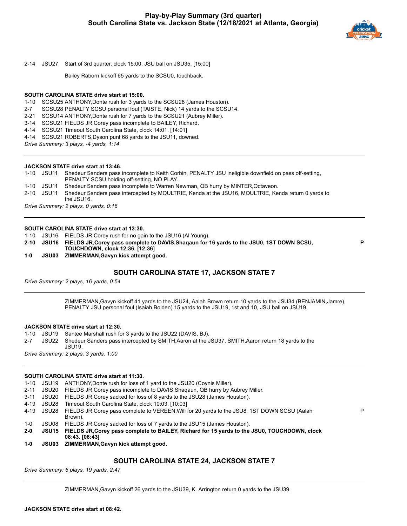

2-14 JSU27 Start of 3rd quarter, clock 15:00, JSU ball on JSU35. [15:00]

Bailey Raborn kickoff 65 yards to the SCSU0, touchback.

#### **SOUTH CAROLINA STATE drive start at 15:00.**

1-10 SCSU25 ANTHONY,Donte rush for 3 yards to the SCSU28 (James Houston).

2-7 SCSU28 PENALTY SCSU personal foul (TAISTE, Nick) 14 yards to the SCSU14.

2-21 SCSU14 ANTHONY,Donte rush for 7 yards to the SCSU21 (Aubrey Miller).

3-14 SCSU21 FIELDS JR,Corey pass incomplete to BAILEY, Richard.

4-14 SCSU21 Timeout South Carolina State, clock 14:01. [14:01]

4-14 SCSU21 ROBERTS,Dyson punt 68 yards to the JSU11, downed.

*Drive Summary: 3 plays, -4 yards, 1:14*

#### **JACKSON STATE drive start at 13:46.**

1-10 JSU11 Shedeur Sanders pass incomplete to Keith Corbin, PENALTY JSU ineligible downfield on pass off-setting, PENALTY SCSU holding off-setting, NO PLAY.

1-10 JSU11 Shedeur Sanders pass incomplete to Warren Newman, QB hurry by MINTER,Octaveon.

2-10 JSU11 Shedeur Sanders pass intercepted by MOULTRIE, Kenda at the JSU16, MOULTRIE, Kenda return 0 yards to

the JSU16. *Drive Summary: 2 plays, 0 yards, 0:16*

#### **SOUTH CAROLINA STATE drive start at 13:30.**

1-10 JSU16 FIELDS JR,Corey rush for no gain to the JSU16 (Al Young).

**2-10 JSU16 FIELDS JR,Corey pass complete to DAVIS.Shaqaun for 16 yards to the JSU0, 1ST DOWN SCSU, TOUCHDOWN, clock 12:36. [12:36] 1-0 JSU03 ZIMMERMAN,Gavyn kick attempt good.**

**P**

P

## **SOUTH CAROLINA STATE 17, JACKSON STATE 7**

*Drive Summary: 2 plays, 16 yards, 0:54*

ZIMMERMAN,Gavyn kickoff 41 yards to the JSU24, Aalah Brown return 10 yards to the JSU34 (BENJAMIN,Jamre), PENALTY JSU personal foul (Isaiah Bolden) 15 yards to the JSU19, 1st and 10, JSU ball on JSU19.

#### **JACKSON STATE drive start at 12:30.**

1-10 JSU19 Santee Marshall rush for 3 yards to the JSU22 (DAVIS, BJ).

2-7 JSU22 Shedeur Sanders pass intercepted by SMITH,Aaron at the JSU37, SMITH,Aaron return 18 yards to the JSU19.

*Drive Summary: 2 plays, 3 yards, 1:00*

#### **SOUTH CAROLINA STATE drive start at 11:30.**

1-10 JSU19 ANTHONY,Donte rush for loss of 1 yard to the JSU20 (Coynis Miller).

2-11 JSU20 FIELDS JR,Corey pass incomplete to DAVIS.Shaqaun, QB hurry by Aubrey Miller.

- 3-11 JSU20 FIELDS JR,Corey sacked for loss of 8 yards to the JSU28 (James Houston).
- 4-19 JSU28 Timeout South Carolina State, clock 10:03. [10:03]

4-19 JSU28 FIELDS JR,Corey pass complete to VEREEN,Will for 20 yards to the JSU8, 1ST DOWN SCSU (Aalah Brown).

- 1-0 JSU08 FIELDS JR,Corey sacked for loss of 7 yards to the JSU15 (James Houston).
- **2-0 JSU15 FIELDS JR,Corey pass complete to BAILEY, Richard for 15 yards to the JSU0, TOUCHDOWN, clock 08:43. [08:43]**
- **1-0 JSU03 ZIMMERMAN,Gavyn kick attempt good.**

## **SOUTH CAROLINA STATE 24, JACKSON STATE 7**

*Drive Summary: 6 plays, 19 yards, 2:47*

ZIMMERMAN,Gavyn kickoff 26 yards to the JSU39, K. Arrington return 0 yards to the JSU39.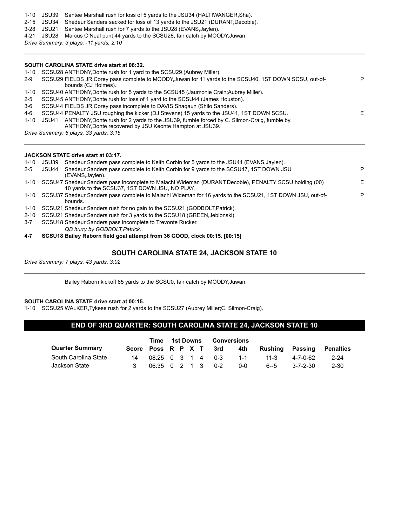- 1-10 JSU39 Santee Marshall rush for loss of 5 yards to the JSU34 (HALTIWANGER,Sha).
- 2-15 JSU34 Shedeur Sanders sacked for loss of 13 yards to the JSU21 (DURANT,Decobie).
- 3-28 JSU21 Santee Marshall rush for 7 yards to the JSU28 (EVANS,Jaylen).
- 4-21 JSU28 Marcus O'Neal punt 44 yards to the SCSU28, fair catch by MOODY,Juwan.

*Drive Summary: 3 plays, -11 yards, 2:10*

#### **SOUTH CAROLINA STATE drive start at 06:32.**

| $1 - 10$ | SCSU28 ANTHONY, Donte rush for 1 yard to the SCSU29 (Aubrey Miller).                                                                                           |    |
|----------|----------------------------------------------------------------------------------------------------------------------------------------------------------------|----|
| $2-9$    | SCSU29 FIELDS JR, Corey pass complete to MOODY, Juwan for 11 yards to the SCSU40, 1ST DOWN SCSU, out-of-<br>bounds (CJ Holmes).                                | P. |
| 1-10     | SCSU40 ANTHONY, Donte rush for 5 yards to the SCSU45 (Jaumonie Crain; Aubrey Miller).                                                                          |    |
| $2 - 5$  | SCSU45 ANTHONY, Donte rush for loss of 1 yard to the SCSU44 (James Houston).                                                                                   |    |
| 3-6      | SCSU44 FIELDS JR, Corey pass incomplete to DAVIS. Shagaun (Shilo Sanders).                                                                                     |    |
| 4-6      | SCSU44 PENALTY JSU roughing the kicker (DJ Stevens) 15 yards to the JSU41, 1ST DOWN SCSU.                                                                      | F. |
| $1 - 10$ | ANTHONY, Donte rush for 2 yards to the JSU39, fumble forced by C. Silmon-Craig, fumble by<br>JSU41<br>ANTHONY, Donte recovered by JSU Keonte Hampton at JSU39. |    |
|          | Drive Summary: 6 plays, 33 yards, 3:15                                                                                                                         |    |
|          |                                                                                                                                                                |    |
|          |                                                                                                                                                                |    |

|          |       | JACKSON STATE drive start at 03:17.                                                                                                                      |   |
|----------|-------|----------------------------------------------------------------------------------------------------------------------------------------------------------|---|
| 1-10     | JSU39 | Shedeur Sanders pass complete to Keith Corbin for 5 yards to the JSU44 (EVANS, Jaylen).                                                                  |   |
| $2 - 5$  | JSU44 | Shedeur Sanders pass complete to Keith Corbin for 9 yards to the SCSU47, 1ST DOWN JSU<br>(EVANS, Jaylen).                                                | P |
| 1-10     |       | SCSU47 Shedeur Sanders pass incomplete to Malachi Wideman (DURANT, Decobie), PENALTY SCSU holding (00)<br>10 yards to the SCSU37, 1ST DOWN JSU, NO PLAY. | Е |
| 1-10     |       | SCSU37 Shedeur Sanders pass complete to Malachi Wideman for 16 yards to the SCSU21, 1ST DOWN JSU, out-of-<br>bounds.                                     | P |
| 1-10     |       | SCSU21 Shedeur Sanders rush for no gain to the SCSU21 (GODBOLT, Patrick).                                                                                |   |
| $2 - 10$ |       | SCSU21 Shedeur Sanders rush for 3 yards to the SCSU18 (GREEN, Jeblonski).                                                                                |   |
| $3 - 7$  |       | SCSU18 Shedeur Sanders pass incomplete to Trevonte Rucker.                                                                                               |   |
|          |       | QB hurry by GODBOLT.Patrick.                                                                                                                             |   |

**4-7 SCSU18 Bailey Raborn field goal attempt from 36 GOOD, clock 00:15. [00:15]**

## **SOUTH CAROLINA STATE 24, JACKSON STATE 10**

*Drive Summary: 7 plays, 43 yards, 3:02*

Bailey Raborn kickoff 65 yards to the SCSU0, fair catch by MOODY,Juwan.

#### **SOUTH CAROLINA STATE drive start at 00:15.**

1-10 SCSU25 WALKER,Tykese rush for 2 yards to the SCSU27 (Aubrey Miller;C. Silmon-Craig).

## **END OF 3RD QUARTER: SOUTH CAROLINA STATE 24, JACKSON STATE 10**

|                        |    | Time                   | 1st Downs |  | <b>Conversions</b> |                 |          |           |
|------------------------|----|------------------------|-----------|--|--------------------|-----------------|----------|-----------|
| <b>Quarter Summary</b> |    | Score Poss R P X T 3rd |           |  | 4th                | Rushing Passing |          | Penalties |
| South Carolina State   | 14 | 08:25 0 3 1 4 0-3      |           |  | $1 - 1$            | $11 - 3$        | 4-7-0-62 | $2 - 24$  |
| Jackson State          |    | 06:35 0 2 1 3 0-2      |           |  | $0 - 0$            | $6 - 5$         | 3-7-2-30 | 2-30      |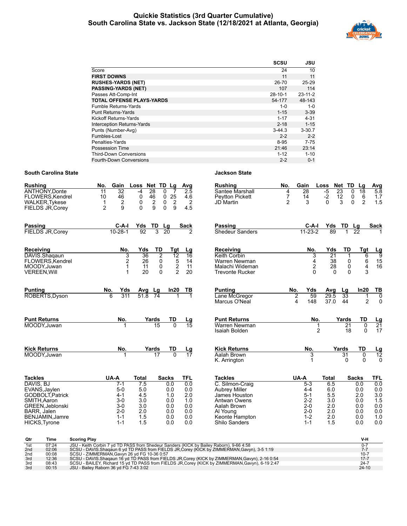## **Quickie Statistics (3rd Quarter Cumulative) South Carolina State vs. Jackson State (12/18/2021 at Atlanta, Georgia)**



|                                   | <b>SCSU</b>   | JSU           |
|-----------------------------------|---------------|---------------|
| Score                             | 24            | 10            |
| <b>FIRST DOWNS</b>                | 11            | 11            |
| <b>RUSHES-YARDS (NET)</b>         | $26 - 70$     | $25 - 29$     |
| <b>PASSING-YARDS (NET)</b>        | 107           | 114           |
| Passes Att-Comp-Int               | $28 - 10 - 1$ | $23 - 11 - 2$ |
| <b>TOTAL OFFENSE PLAYS-YARDS</b>  | 54-177        | 48-143        |
| <b>Fumble Returns-Yards</b>       | $1 - 0$       | $1 - 0$       |
| <b>Punt Returns-Yards</b>         | $1 - 15$      | $3 - 39$      |
| Kickoff Returns-Yards             | $1 - 17$      | $4 - 31$      |
| <b>Interception Returns-Yards</b> | $2 - 18$      | $1 - 15$      |
| Punts (Number-Avg)                | $3-44.3$      | $3 - 30.7$    |
| Fumbles-Lost                      | $2 - 2$       | $2 - 2$       |
| Penalties-Yards                   | 8-95          | 7-75          |
| Possession Time                   | 21:46         | 23:14         |
| <b>Third-Down Conversions</b>     | $1 - 12$      | $1 - 10$      |
| Fourth-Down Conversions           | $2 - 2$       | $0 - 1$       |

| <b>Rushing</b>                                                                         | Gain<br>No.                                                        | Loss                                                          | Net TD Lg                                                                                    | Avg                                 | <b>Rushing</b>                                         | No.                                   | Gain                    | Loss                                          | Net TD             | Lg                                    | Avg                            |
|----------------------------------------------------------------------------------------|--------------------------------------------------------------------|---------------------------------------------------------------|----------------------------------------------------------------------------------------------|-------------------------------------|--------------------------------------------------------|---------------------------------------|-------------------------|-----------------------------------------------|--------------------|---------------------------------------|--------------------------------|
| <b>ANTHONY, Donte</b><br>FLOWERS, Kendrel<br><b>WALKER, Tykese</b><br>FIELDS JR, Corey | 32<br>$\overline{11}$<br>10<br>46<br>2<br>1<br>$\overline{2}$<br>9 | 28<br>$-4$<br>0<br>46<br>$\overline{2}$<br>0<br>9<br>$\Omega$ | $\overline{0}$<br>$\overline{7}$<br>25<br>0<br>0<br>$\overline{\mathbf{c}}$<br>$\Omega$<br>9 | $\overline{2.5}$<br>4.6<br>2<br>4.5 | Santee Marshall<br><b>Peytton Pickett</b><br>JD Martin | 4<br>$\overline{7}$<br>$\overline{2}$ | 28<br>14<br>3           | $-5$<br>23<br>$-2$<br>12<br>$\mathbf{0}$<br>3 | 0<br>0<br>$\Omega$ | 18<br>6<br>$\overline{2}$             | $5.\overline{8}$<br>1.7<br>1.5 |
| <b>Passing</b>                                                                         | C-A-I                                                              | Yds<br>TD                                                     | Lg                                                                                           | <b>Sack</b>                         | <b>Passing</b>                                         |                                       | $C-A-I$                 | Yds                                           | TD<br>Lg           |                                       | Sack                           |
| <b>FIELDS JR, Corev</b>                                                                | $10 - 28 - 1$                                                      | 92<br>3                                                       | $\overline{20}$                                                                              | 2                                   | Shedeur Sanders                                        |                                       | $11 - 23 - 2$           | 89                                            | 22                 |                                       |                                |
| Receiving                                                                              | No.                                                                | Yds<br>TD                                                     | Tgt                                                                                          | Lg                                  | Receiving                                              |                                       | No.                     | Yds                                           | TD                 | Tgt                                   | $\frac{Lg}{9}$                 |
| DAVIS.Shagaun<br>FLOWERS, Kendrel                                                      | 3<br>2                                                             | 36<br>26                                                      | $\overline{2}$<br>$\overline{12}$<br>$\mathbf 5$<br>0                                        | $\overline{16}$<br>14               | Keith Corbin<br>Warren Newman                          |                                       | 3<br>4                  | $\overline{21}$<br>38                         | -1<br>0            | 6                                     |                                |
| MOODY.Juwan                                                                            | 1                                                                  | 11                                                            | $\boldsymbol{2}$<br>0                                                                        | 11                                  | Malachi Wideman                                        |                                       | $\overline{\mathbf{c}}$ | 28                                            | $\mathbf 0$        | $\begin{array}{c} 6 \\ 4 \end{array}$ | $\frac{15}{16}$                |
| <b>VEREEN, Will</b>                                                                    | 1                                                                  | 20                                                            | $\mathfrak{p}$<br>$\Omega$                                                                   | 20                                  | <b>Trevonte Rucker</b>                                 |                                       | $\Omega$                | $\Omega$                                      | $\Omega$           | 3                                     |                                |
| <b>Punting</b>                                                                         | No.<br>Yds                                                         | Avg Lg                                                        | In20                                                                                         | TВ                                  | <b>Punting</b>                                         | No.                                   | Yds                     | Avg                                           | Lg                 | In20                                  | <u>ТВ</u>                      |
| ROBERTS, Dyson                                                                         | 6<br>311                                                           | 51.8<br>$\overline{74}$                                       |                                                                                              |                                     | Lane McGregor<br>Marcus O'Neal                         | 2<br>4                                | 59<br>148               | 29.5<br>37.0                                  | 33<br>44           | 1<br>$\overline{2}$                   | 0<br>$\mathbf 0$               |
| <b>Punt Returns</b>                                                                    | No.                                                                | Yards                                                         | TD                                                                                           | $\frac{Lg}{15}$                     | <b>Punt Returns</b>                                    |                                       | No.                     |                                               | Yards              | TD                                    | $\frac{Lg}{21}$                |
| MOODY, Juwan                                                                           |                                                                    | 15                                                            | $\overline{0}$                                                                               |                                     | Warren Newman<br>Isaiah Bolden                         |                                       | 1<br>$\overline{2}$     |                                               | 21<br>18           | 0<br>$\Omega$                         | 17                             |
| <b>Kick Returns</b>                                                                    | No.                                                                | Yards                                                         | TD                                                                                           | Lg                                  | <b>Kick Returns</b>                                    |                                       | No.                     | Yards                                         |                    | TD                                    | $\frac{Lg}{12}$                |
| MOODY, Juwan                                                                           |                                                                    | 17                                                            |                                                                                              | 17                                  | Aalah Brown<br>K. Arrington                            |                                       | 3<br>1                  |                                               | 31<br>0            | $\overline{0}$<br>$\Omega$            | $\Omega$                       |
| <b>Tackles</b>                                                                         | UA-A                                                               | <b>Total</b>                                                  | <b>Sacks</b>                                                                                 | TFL                                 | <b>Tackles</b>                                         | UA-A                                  |                         | <b>Total</b>                                  | <b>Sacks</b>       |                                       | TFL                            |
| DAVIS, BJ                                                                              | $7-1$                                                              | 7.5                                                           | 0.0                                                                                          | 0.0                                 | C. Silmon-Craig                                        |                                       | $5 - 3$                 | 6.5                                           | 0.0                |                                       | 0.0                            |
| EVANS, Jaylen<br>GODBOLT, Patrick                                                      | $5-0$<br>$4 - 1$                                                   | 5.0<br>4.5                                                    | 0.0<br>1.0                                                                                   | 0.0<br>2.0                          | <b>Aubrey Miller</b><br>James Houston                  |                                       | $4 - 4$<br>$5 - 1$      | 6.0<br>5.5                                    | 0.0<br>2.0         |                                       | 0.0<br>3.0                     |
| SMITH, Aaron                                                                           | $3-0$                                                              | 3.0                                                           | 0.0                                                                                          | 1.0                                 | Antwan Owens                                           |                                       | $2 - 2$                 | 3.0                                           | 0.0                |                                       | 1.5                            |
| GREEN, Jeblonski                                                                       | $3-0$                                                              | 3.0                                                           | 0.0                                                                                          | 0.0                                 | Aalah Brown                                            |                                       | $2 - 0$                 | 2.0                                           | 0.0                |                                       | 0.0                            |
| BARR, Jalen                                                                            | $2 - 0$                                                            | 2.0                                                           | 0.0                                                                                          | 0.0                                 | Al Young                                               |                                       | $2 - 0$                 | 2.0                                           | 0.0                |                                       | 0.0                            |
| BENJAMIN, Jamre<br>HICKS, Tyrone                                                       | $1 - 1$<br>$1 - 1$                                                 | 1.5<br>1.5                                                    | 0.0<br>0.0                                                                                   | 0.0<br>0.0                          | Keonte Hampton<br>Shilo Sanders                        |                                       | $1 - 2$<br>$1 - 1$      | 2.0<br>1.5                                    | 0.0<br>0.0         |                                       | 1.0<br>0.0                     |
| Qtr<br>Time<br><b>Scoring Play</b>                                                     |                                                                    |                                                               |                                                                                              |                                     |                                                        |                                       |                         |                                               |                    | V-H                                   |                                |

| wu               | пше   | <b>OCOLING FIRE</b>                                                                              | <u>у-п</u> |
|------------------|-------|--------------------------------------------------------------------------------------------------|------------|
| $\overline{1st}$ | 07:24 | JSU - Keith Corbin 7 yd TD PASS from Shedeur Sanders (KICK by Bailey Raborn), 9-66 4:58          |            |
| 2nd              | 02:06 | SCSU - DAVIS. Shaqaun 6 yd TD PASS from FIELDS JR, Corey (KICK by ZIMMERMAN, Gavyn), 3-5 1:19    |            |
| 2nd              | 00:08 | SCSU - ZIMMERMAN.Gavvn 26 vd FG 10-36 0:57                                                       | $10-7$     |
| 3rd              | 12:36 | SCSU - DAVIS Shagaun 16 yd TD PASS from FIELDS JR, Corey (KICK by ZIMMERMAN, Gavyn), 2-16 0:54   | $17 - 7$   |
| 3rd              | 08:43 | SCSU - BAILEY, Richard 15 yd TD PASS from FIELDS JR, Corey (KICK by ZIMMERMAN, Gavyn), 6-19 2:47 | $24 - 7$   |
| 3rd              | 00:15 | JSU - Bailey Raborn 36 yd FG 7-43 3:02                                                           | $24-10$    |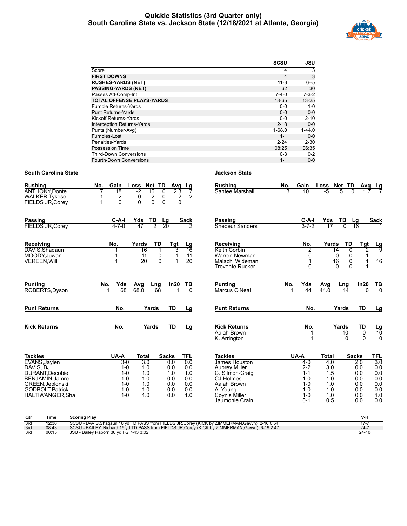## **Quickie Statistics (3rd Quarter only) South Carolina State vs. Jackson State (12/18/2021 at Atlanta, Georgia)**



|                                   | <b>SCSU</b> | JSU         |
|-----------------------------------|-------------|-------------|
| Score                             | 14          | 3           |
| <b>FIRST DOWNS</b>                | 4           | 3           |
| <b>RUSHES-YARDS (NET)</b>         | $11 - 3$    | $6 - 5$     |
| <b>PASSING-YARDS (NET)</b>        | 62          | 30          |
| Passes Att-Comp-Int               | $7 - 4 - 0$ | $7 - 3 - 2$ |
| <b>TOTAL OFFENSE PLAYS-YARDS</b>  | 18-65       | $13 - 25$   |
| <b>Fumble Returns-Yards</b>       | $0 - 0$     | $1 - 0$     |
| <b>Punt Returns-Yards</b>         | $0 - 0$     | $0 - 0$     |
| Kickoff Returns-Yards             | $0 - 0$     | $2 - 10$    |
| <b>Interception Returns-Yards</b> | $2 - 18$    | $0 - 0$     |
| Punts (Number-Avg)                | $1 - 68.0$  | $1 - 44.0$  |
| Fumbles-Lost                      | $1 - 1$     | $0 - 0$     |
| Penalties-Yards                   | $2 - 24$    | $2 - 30$    |
| <b>Possession Time</b>            | 08:25       | 06:35       |
| <b>Third-Down Conversions</b>     | $0 - 3$     | $0 - 2$     |
| Fourth-Down Conversions           | $1 - 1$     | $0 - 0$     |

| <b>Rushing</b>                                                     | No.<br>Gain                                            | Net TD<br>Loss<br>Avg                                                                                             | Lg                            | <b>Rushing</b>                                                                          | No. | Gain                      | Loss              | Net TD                                                            | Avg                        | $\frac{Lg}{7}$       |
|--------------------------------------------------------------------|--------------------------------------------------------|-------------------------------------------------------------------------------------------------------------------|-------------------------------|-----------------------------------------------------------------------------------------|-----|---------------------------|-------------------|-------------------------------------------------------------------|----------------------------|----------------------|
| <b>ANTHONY, Donte</b><br><b>WALKER, Tykese</b><br>FIELDS JR, Corey | $\overline{18}$<br>$\overline{\mathbf{c}}$<br>$\Omega$ | $-2$<br>16<br>2.3<br>0<br>$\begin{matrix} 0 \\ 0 \end{matrix}$<br>$\frac{2}{0}$<br>$\frac{2}{0}$<br>0<br>$\Omega$ | 7<br>$\overline{2}$           | Santee Marshall                                                                         | 3   | 10                        | $-5$              | 5<br>$\Omega$                                                     | 1.7                        |                      |
| Passing<br><b>FIELDS JR, Corey</b>                                 | $C-A-I$<br>$4 - 7 - 0$                                 | TD<br>Yds<br>Lg<br>47<br>$\overline{20}$<br>$\overline{2}$                                                        | <b>Sack</b><br>$\mathfrak{p}$ | Passing<br>Shedeur Sanders                                                              |     | $C-A-I$<br>$3 - 7 - 2$    | Yds<br>17         | TD<br>0                                                           | Lg<br>16                   | <b>Sack</b>          |
| Receiving<br>DAVIS.Shaqaun<br>MOODY, Juwan<br><b>VEREEN, Will</b>  | No.<br>1                                               | TD<br>Yards<br>Tgt<br>3<br>16<br>$\pmb{0}$<br>1<br>11<br>$\Omega$<br>20<br>1                                      | $\frac{Lg}{16}$<br>11<br>20   | Receiving<br>Keith Corbin<br>Warren Newman<br>Malachi Wideman<br><b>Trevonte Rucker</b> |     | No.<br>2<br>0<br>$\Omega$ | Yards<br>14<br>16 | TD<br>0<br>0<br>$\pmb{0}$<br>$\pmb{0}$<br>$\Omega$<br>$\mathbf 0$ | Tgt<br>$\overline{2}$<br>1 | $\frac{Lg}{9}$<br>16 |
| <b>Punting</b><br>ROBERTS, Dyson                                   | Yds<br>No.<br>68                                       | In20<br>Avg<br>Lng<br>68.0<br>68                                                                                  | TВ                            | <b>Punting</b><br>Marcus O'Neal                                                         | No. | Yds<br>44                 | Avg<br>44.0       | Lng<br>44                                                         | In20<br>$\overline{0}$     | $rac{TB}{0}$         |
| <b>Punt Returns</b>                                                | No.                                                    | Yards<br>TD                                                                                                       | Lg                            | <b>Punt Returns</b>                                                                     |     | No.                       |                   | Yards                                                             | <b>TD</b>                  | Lg                   |
| <b>Kick Returns</b>                                                | No.                                                    | Yards<br>TD                                                                                                       | Lg                            | <b>Kick Returns</b><br>Aalah Brown<br>K. Arrington                                      |     | No.                       |                   | Yards<br>10<br>0                                                  | <b>TD</b><br>0<br>$\Omega$ | $\frac{Lg}{10}$<br>0 |
| <b>Tackles</b>                                                     | UA-A                                                   | <b>Sacks</b><br>Total                                                                                             | <b>TFL</b>                    | <b>Tackles</b>                                                                          |     | UA-A                      | <b>Total</b>      | <b>Sacks</b>                                                      |                            | TFL                  |

| lackles          | UA-A    | Total | Sacks | 11 L. |                   |
|------------------|---------|-------|-------|-------|-------------------|
| EVANS, Jaylen    | $3-0$   | 3.0   | 0.0   | 0.0   | $\frac{Iac}{Jar}$ |
| DAVIS. BJ        | $1 - 0$ | 1.0   | 0.0   | 0.0   | Aul               |
| DURANT, Decobie  | $1 - 0$ | 1.0   | 1.0   | 1.0   | С.                |
| BENJAMIN, Jamre  | $1 - 0$ | 1.0   | 0.0   | 0.0   | CJ                |
| GREEN, Jeblonski | $1 - 0$ | 1.0   | 0.0   | 0.0   | Aal               |
| GODBOLT, Patrick | $1 - 0$ | 1.0   | 0.0   | 0.0   | Al `              |
| HALTIWANGER.Sha  | $1 - 0$ | 1.0   | 0.0   | 1.0   | Co                |
|                  |         |       |       |       |                   |

| <b>Tackles</b>       | UA-A    | Total | <b>Sacks</b> | TFL |
|----------------------|---------|-------|--------------|-----|
| James Houston        | 4-0     | 4.0   | 2.0          | 3.0 |
| <b>Aubrey Miller</b> | $2 - 2$ | 3.0   | 0.0          | 0.0 |
| C. Silmon-Craig      | $1 - 1$ | 1.5   | 0.0          | 0.0 |
| CJ Holmes            | $1 - 0$ | 1.0   | 0.0          | 0.0 |
| Aalah Brown          | $1 - 0$ | 1.0   | 0.0          | 0.0 |
| Al Young             | $1 - 0$ | 1.0   | 0.0          | 0.0 |
| Coynis Miller        | $1 - 0$ | 1.0   | 0.0          | 1.0 |
| Jaumonie Crain       | $0 - 1$ | 0.5   | 0.0          | 0.0 |

| Qtr | Time  | <b>Scoring Play</b>                                                                              | V-H      |
|-----|-------|--------------------------------------------------------------------------------------------------|----------|
| 3rd | 12:36 | SCSU - DAVIS. Shaqaun 16 yd TD PASS from FIELDS JR, Corey (KICK by ZIMMERMAN, Gavyn), 2-16 0:54  |          |
| 3rd | 08:43 | SCSU - BAILEY, Richard 15 yd TD PASS from FIELDS JR, Corey (KICK by ZIMMERMAN, Gavyn), 6-19 2:47 | $24 - 7$ |
| 3rd | 00:15 | JSU - Bailey Raborn 36 yd FG 7-43 3:02                                                           | $24-10$  |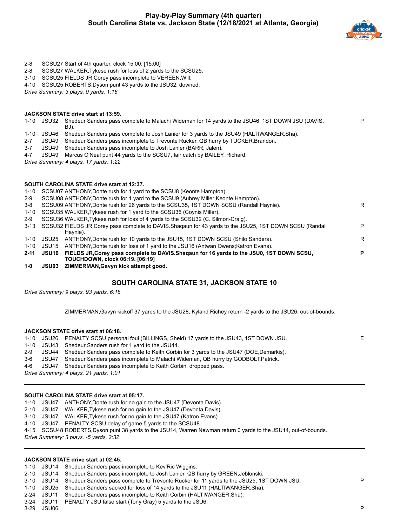

- 2-8 SCSU27 Start of 4th quarter, clock 15:00. [15:00]
- 2-8 SCSU27 WALKER,Tykese rush for loss of 2 yards to the SCSU25.
- 3-10 SCSU25 FIELDS JR,Corey pass incomplete to VEREEN,Will.
- 4-10 SCSU25 ROBERTS,Dyson punt 43 yards to the JSU32, downed.
- *Drive Summary: 3 plays, 0 yards, 1:16*

#### **JACKSON STATE drive start at 13:59.**

| 1-10 | JSU32 | Shedeur Sanders pass complete to Malachi Wideman for 14 yards to the JSU46, 1ST DOWN JSU (DAVIS,<br>BJ). | P |
|------|-------|----------------------------------------------------------------------------------------------------------|---|
|      |       | 1-10 JSU46 Shedeur Sanders pass complete to Josh Lanier for 3 yards to the JSU49 (HALTIWANGER, Sha).     |   |
|      |       | 2-7 JSU49 Shedeur Sanders pass incomplete to Trevonte Rucker, QB hurry by TUCKER, Brandon.               |   |
|      |       | $\mathbf{r}$                                                                                             |   |

- 3-7 JSU49 Shedeur Sanders pass incomplete to Josh Lanier (BARR, Jalen).
- 4-7 JSU49 Marcus O'Neal punt 44 yards to the SCSU7, fair catch by BAILEY, Richard.

*Drive Summary: 4 plays, 17 yards, 1:22*

#### **SOUTH CAROLINA STATE drive start at 12:37.**

| $1 - 0$  | <b>JSU03</b> | ZIMMERMAN, Gavyn kick attempt good.                                                                      |   |
|----------|--------------|----------------------------------------------------------------------------------------------------------|---|
|          |              | TOUCHDOWN, clock 06:19. [06:19]                                                                          |   |
| $2 - 11$ | JSU16        | FIELDS JR, Corey pass complete to DAVIS. Shagaun for 16 yards to the JSU0, 1ST DOWN SCSU,                | P |
| 1-10     | JSU15        | ANTHONY, Donte rush for loss of 1 yard to the JSU16 (Antwan Owens; Katron Evans).                        |   |
| 1-10     | JSU25        | ANTHONY, Donte rush for 10 yards to the JSU15, 1ST DOWN SCSU (Shilo Sanders).                            | R |
|          |              | Haynie).                                                                                                 |   |
| $3 - 13$ |              | SCSU32 FIELDS JR Corey pass complete to DAVIS. Shagaun for 43 yards to the JSU25, 1ST DOWN SCSU (Randall | P |
| 2-9      |              | SCSU36 WALKER, Tykese rush for loss of 4 yards to the SCSU32 (C. Silmon-Craig).                          |   |
| $1 - 10$ |              | SCSU35 WALKER, Tykese rush for 1 yard to the SCSU36 (Coynis Miller).                                     |   |
| 3-8      |              | SCSU09 ANTHONY, Donte rush for 26 yards to the SCSU35, 1ST DOWN SCSU (Randall Haynie).                   | R |
| 2-9      |              | SCSU08 ANTHONY, Donte rush for 1 yard to the SCSU9 (Aubrey Miller; Keonte Hampton).                      |   |
| 1-10     |              | SCSU07 ANTHONY, Donte rush for 1 yard to the SCSU8 (Keonte Hampton).                                     |   |
|          |              |                                                                                                          |   |

## **SOUTH CAROLINA STATE 31, JACKSON STATE 10**

*Drive Summary: 9 plays, 93 yards, 6:18*

ZIMMERMAN,Gavyn kickoff 37 yards to the JSU28, Kyland Richey return -2 yards to the JSU26, out-of-bounds.

#### **JACKSON STATE drive start at 06:18.**

|  | 1-10 JSU26 PENALTY SCSU personal foul (BILLINGS, Sheld) 17 yards to the JSU43, 1ST DOWN JSU.      | Е |
|--|---------------------------------------------------------------------------------------------------|---|
|  | 1-10 JSU43 Shedeur Sanders rush for 1 yard to the JSU44.                                          |   |
|  | 2-9 JSU44 Shedeur Sanders pass complete to Keith Corbin for 3 yards to the JSU47 (DOE, Demarkis). |   |
|  | 3-6 JSU47 Shedeur Sanders pass incomplete to Malachi Wideman, QB hurry by GODBOLT, Patrick.       |   |
|  | 4-6 JSU47 Shedeur Sanders pass incomplete to Keith Corbin, dropped pass.                          |   |
|  | Drive Summary: 4 plays, 21 yards, 1:01                                                            |   |
|  |                                                                                                   |   |

## **SOUTH CAROLINA STATE drive start at 05:17.**

- 1-10 JSU47 ANTHONY,Donte rush for no gain to the JSU47 (Devonta Davis).
- 2-10 JSU47 WALKER,Tykese rush for no gain to the JSU47 (Devonta Davis).
- 3-10 JSU47 WALKER,Tykese rush for no gain to the JSU47 (Katron Evans).
- 4-10 JSU47 PENALTY SCSU delay of game 5 yards to the SCSU48.

4-15 SCSU48 ROBERTS,Dyson punt 38 yards to the JSU14, Warren Newman return 0 yards to the JSU14, out-of-bounds.

*Drive Summary: 3 plays, -5 yards, 2:32*

#### **JACKSON STATE drive start at 02:45.**

- 1-10 JSU14 Shedeur Sanders pass incomplete to Kev'Ric Wiggins.
- 2-10 JSU14 Shedeur Sanders pass incomplete to Josh Lanier, QB hurry by GREEN,Jeblonski.
- 3-10 JSU14 Shedeur Sanders pass complete to Trevonte Rucker for 11 yards to the JSU25, 1ST DOWN JSU. P
- 1-10 JSU25 Shedeur Sanders sacked for loss of 14 yards to the JSU11 (HALTIWANGER,Sha).
- 2-24 JSU11 Shedeur Sanders pass incomplete to Keith Corbin (HALTIWANGER,Sha).
- 3-24 JSU11 PENALTY JSU false start (Tony Gray) 5 yards to the JSU6.

3-29 JSU06 P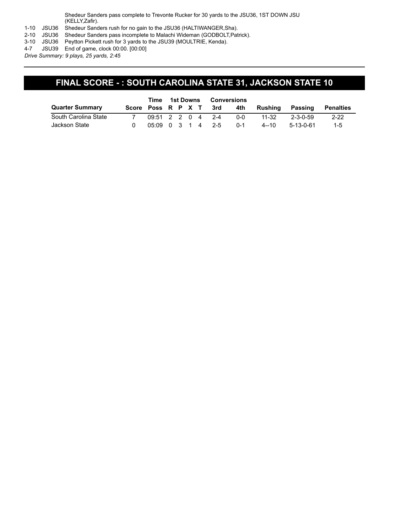Shedeur Sanders pass complete to Trevonte Rucker for 30 yards to the JSU36, 1ST DOWN JSU (KELLY,Zafir).

1-10 JSU36 Shedeur Sanders rush for no gain to the JSU36 (HALTIWANGER,Sha).

2-10 JSU36 Shedeur Sanders pass incomplete to Malachi Wideman (GODBOLT,Patrick).

3-10 JSU36 Peytton Pickett rush for 3 yards to the JSU39 (MOULTRIE, Kenda).

4-7 JSU39 End of game, clock 00:00. [00:00]

*Drive Summary: 9 plays, 25 yards, 2:45*

## **FINAL SCORE - : SOUTH CAROLINA STATE 31, JACKSON STATE 10**

|                        | Time 1st Downs         |                      |  | Conversions |  |  |         |          |           |                  |
|------------------------|------------------------|----------------------|--|-------------|--|--|---------|----------|-----------|------------------|
| <b>Quarter Summary</b> | Score Poss R P X T 3rd |                      |  |             |  |  | 4th     | Rushing  | Passing   | <b>Penalties</b> |
| South Carolina State   |                        | $0.9:51$ 2 2 0 4 2-4 |  |             |  |  | $0 - 0$ | 11-32    | 2-3-0-59  | $2 - 22$         |
| Jackson State          |                        | $0.5:09$ 0 3 1 4 2-5 |  |             |  |  | $0 - 1$ | $4 - 10$ | 5-13-0-61 | $1 - 5$          |